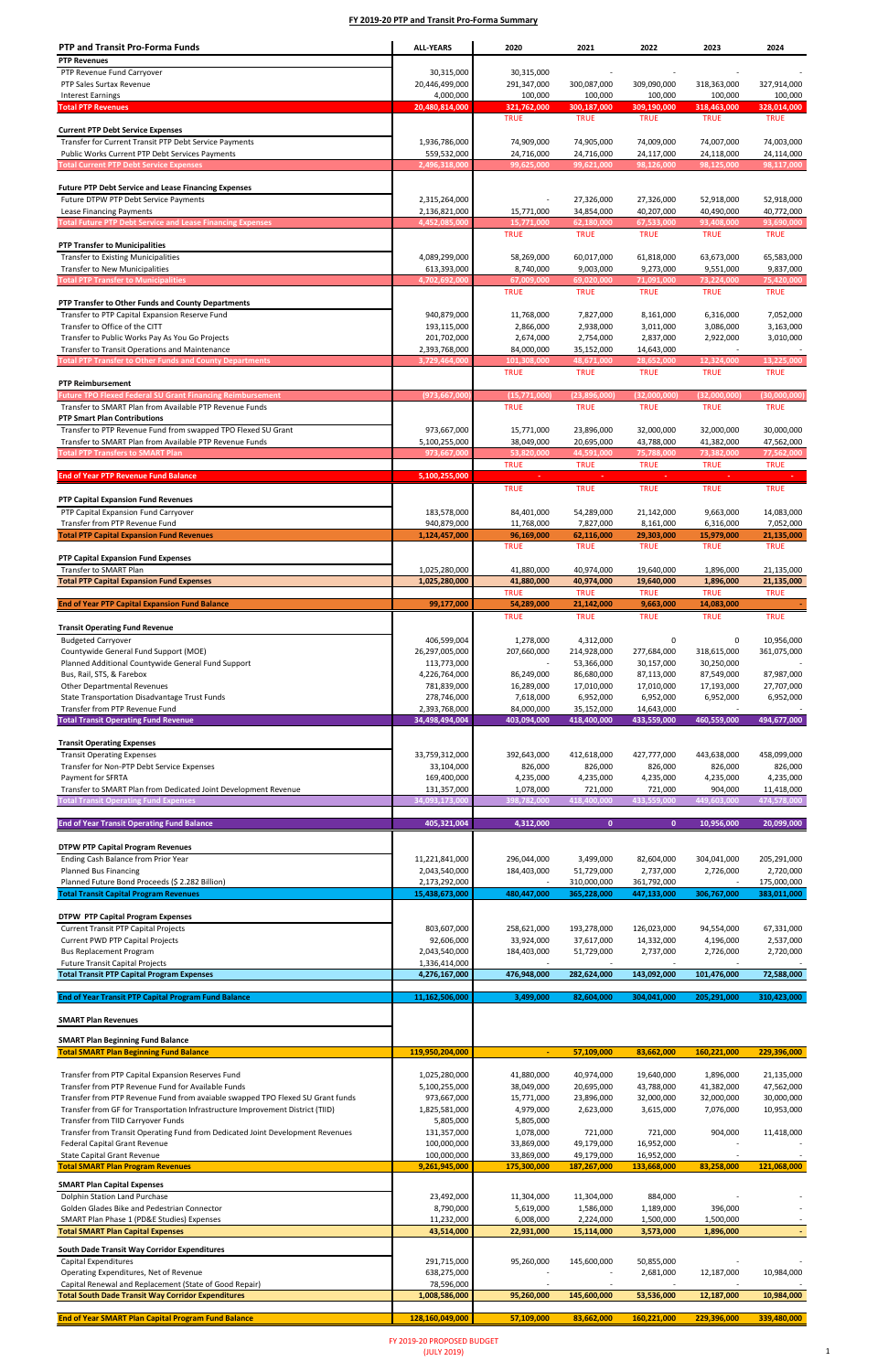| <b>PTP and Transit Pro-Forma Funds</b>                                                                          | <b>ALL-YEARS</b>              | 2020                      | 2021                      | 2022                      | 2023                      | 2024                      |
|-----------------------------------------------------------------------------------------------------------------|-------------------------------|---------------------------|---------------------------|---------------------------|---------------------------|---------------------------|
| <b>PTP Revenues</b>                                                                                             |                               |                           |                           |                           |                           |                           |
| PTP Revenue Fund Carryover                                                                                      | 30,315,000                    | 30,315,000                | $\sim$                    | $\sim$                    | $\overline{\phantom{a}}$  |                           |
| PTP Sales Surtax Revenue                                                                                        | 20,446,499,000                | 291,347,000               | 300,087,000               | 309,090,000               | 318,363,000               | 327,914,000               |
| <b>Interest Earnings</b>                                                                                        | 4,000,000                     | 100,000                   | 100,000                   | 100,000                   | 100,000                   | 100,000                   |
| <b>Total PTP Revenues</b>                                                                                       | 20,480,814,000                | 321,762,000               | 300,187,000               | 309,190,000               | 318,463,000               | 328,014,000               |
|                                                                                                                 |                               | <b>TRUE</b>               | <b>TRUE</b>               | <b>TRUE</b>               | <b>TRUE</b>               | <b>TRUE</b>               |
| <b>Current PTP Debt Service Expenses</b>                                                                        |                               |                           |                           |                           |                           |                           |
| Transfer for Current Transit PTP Debt Service Payments<br>Public Works Current PTP Debt Services Payments       | 1,936,786,000<br>559,532,000  | 74,909,000<br>24,716,000  | 74,905,000<br>24,716,000  | 74,009,000<br>24,117,000  | 74,007,000<br>24,118,000  | 74,003,000<br>24,114,000  |
| <b>Total Current PTP Debt Service Expenses</b>                                                                  | 2,496,318,000                 | 99,625,000                | 99,621,000                | 98,126,000                | 98,125,000                | 98,117,000                |
|                                                                                                                 |                               |                           |                           |                           |                           |                           |
| <b>Future PTP Debt Service and Lease Financing Expenses</b>                                                     |                               |                           |                           |                           |                           |                           |
| Future DTPW PTP Debt Service Payments                                                                           | 2,315,264,000                 |                           | 27,326,000                | 27,326,000                | 52,918,000                | 52,918,000                |
| Lease Financing Payments                                                                                        | 2,136,821,000                 | 15,771,000                | 34,854,000                | 40,207,000                | 40,490,000                | 40,772,000                |
| <b>Total Future PTP Debt Service and Lease Financing Expenses</b>                                               | 4,452,085,000                 | 15,771,000                | 62,180,000                | 67,533,000                | 93,408,000                | 93,690,000                |
|                                                                                                                 |                               | <b>TRUE</b>               | <b>TRUE</b>               | <b>TRUE</b>               | <b>TRUE</b>               | <b>TRUE</b>               |
| <b>PTP Transfer to Municipalities</b>                                                                           |                               |                           |                           |                           |                           |                           |
| <b>Transfer to Existing Municipalities</b>                                                                      | 4,089,299,000                 | 58,269,000                | 60,017,000                | 61,818,000                | 63,673,000                | 65,583,000                |
| Transfer to New Municipalities                                                                                  | 613,393,000                   | 8.740.000                 | 9,003,000                 | 9,273,000                 | 9,551,000                 | 9,837,000                 |
| <b>Total PTP Transfer to Municipalities</b>                                                                     | 4,702,692,000                 | 67,009,000<br><b>TRUE</b> | 69,020,000<br><b>TRUE</b> | 71,091,000<br><b>TRUE</b> | 73,224,000<br><b>TRUE</b> | 75,420,000<br><b>TRUE</b> |
| PTP Transfer to Other Funds and County Departments                                                              |                               |                           |                           |                           |                           |                           |
| Transfer to PTP Capital Expansion Reserve Fund                                                                  | 940,879,000                   | 11,768,000                | 7,827,000                 | 8,161,000                 | 6,316,000                 | 7,052,000                 |
| Transfer to Office of the CITT                                                                                  | 193,115,000                   | 2,866,000                 | 2,938,000                 | 3,011,000                 | 3,086,000                 | 3,163,000                 |
| Transfer to Public Works Pay As You Go Projects                                                                 | 201,702,000                   | 2,674,000                 | 2,754,000                 | 2,837,000                 | 2,922,000                 | 3,010,000                 |
| Transfer to Transit Operations and Maintenance                                                                  | 2,393,768,000                 | 84,000,000                | 35,152,000                | 14,643,000                |                           |                           |
| <b>Total PTP Transfer to Other Funds and County Departments</b>                                                 | 3,729,464,000                 | 101,308,000               | 48,671,000                | 28,652,000                | 12,324,000                | 13,225,000                |
|                                                                                                                 |                               | <b>TRUE</b>               | <b>TRUE</b>               | <b>TRUE</b>               | <b>TRUE</b>               | <b>TRUE</b>               |
| <b>PTP Reimbursement</b>                                                                                        |                               |                           |                           |                           |                           |                           |
| <b>Future TPO Flexed Federal SU Grant Financing Reimbursement</b>                                               | (973,667,000                  | (15,771,000)              | (23,896,000)              | (32,000,000)              | (32,000,000)              | (30,000,000)              |
| Transfer to SMART Plan from Available PTP Revenue Funds                                                         |                               | <b>TRUE</b>               | <b>TRUE</b>               | <b>TRUE</b>               | <b>TRUE</b>               | <b>TRUE</b>               |
| <b>PTP Smart Plan Contributions</b>                                                                             |                               |                           |                           |                           |                           |                           |
| Transfer to PTP Revenue Fund from swapped TPO Flexed SU Grant                                                   | 973,667,000                   | 15,771,000                | 23,896,000                | 32,000,000                | 32,000,000                | 30,000,000                |
| Transfer to SMART Plan from Available PTP Revenue Funds                                                         | 5,100,255,000                 | 38,049,000                | 20,695,000                | 43,788,000                | 41,382,000                | 47,562,000                |
| <b>Total PTP Transfers to SMART Plan</b>                                                                        | 973,667,000                   | 53,820,000<br><b>TRUE</b> | 44,591,000                | 75,788,000                | 73,382,000                | 77,562,000<br><b>TRUE</b> |
| <b>End of Year PTP Revenue Fund Balance</b>                                                                     | 5,100,255,000                 |                           | <b>TRUE</b>               | <b>TRUE</b>               | <b>TRUE</b>               |                           |
|                                                                                                                 |                               | <b>TRUE</b>               | <b>TRUE</b>               | <b>TRUE</b>               | <b>TRUE</b>               | <b>TRUE</b>               |
| PTP Capital Expansion Fund Revenues                                                                             |                               |                           |                           |                           |                           |                           |
| PTP Capital Expansion Fund Carryover                                                                            | 183,578,000                   | 84,401,000                | 54,289,000                | 21,142,000                | 9,663,000                 | 14,083,000                |
| Transfer from PTP Revenue Fund                                                                                  | 940,879,000                   | 11,768,000                | 7,827,000                 | 8,161,000                 | 6,316,000                 | 7,052,000                 |
| <b>Total PTP Capital Expansion Fund Revenues</b>                                                                | 1,124,457,000                 | 96,169,000                | 62,116,000                | 29,303,000                | 15,979,000                | 21,135,000                |
|                                                                                                                 |                               | <b>TRUE</b>               | <b>TRUE</b>               | <b>TRUE</b>               | <b>TRUE</b>               | <b>TRUE</b>               |
| <b>PTP Capital Expansion Fund Expenses</b>                                                                      |                               |                           |                           |                           |                           |                           |
| Transfer to SMART Plan                                                                                          | 1,025,280,000                 | 41,880,000                | 40,974,000                | 19,640,000                | 1,896,000                 | 21,135,000                |
| <b>Total PTP Capital Expansion Fund Expenses</b>                                                                | 1,025,280,000                 | 41,880,000                | 40,974,000                | 19,640,000                | 1,896,000                 | 21,135,000                |
| <b>End of Year PTP Capital Expansion Fund Balance</b>                                                           |                               | <b>TRUE</b>               | <b>TRUE</b>               | <b>TRUE</b>               | <b>TRUE</b>               | <b>TRUE</b>               |
|                                                                                                                 | 99,177,000                    | 54,289,000                | 21,142,000                | 9,663,000                 | 14,083,000                |                           |
| <b>Transit Operating Fund Revenue</b>                                                                           |                               | <b>TRUE</b>               | <b>TRUE</b>               | <b>TRUE</b>               | <b>TRUE</b>               | <b>TRUE</b>               |
| <b>Budgeted Carryover</b>                                                                                       | 406,599,004                   | 1,278,000                 | 4,312,000                 | 0                         | 0                         | 10,956,000                |
| Countywide General Fund Support (MOE)                                                                           | 26,297,005,000                | 207,660,000               | 214,928,000               | 277,684,000               | 318,615,000               | 361,075,000               |
| Planned Additional Countywide General Fund Support                                                              | 113,773,000                   |                           | 53,366,000                | 30,157,000                | 30,250,000                |                           |
| Bus, Rail, STS, & Farebox                                                                                       | 4,226,764,000                 | 86,249,000                | 86,680,000                | 87,113,000                | 87,549,000                | 87,987,000                |
| <b>Other Departmental Revenues</b>                                                                              | 781,839,000                   | 16,289,000                | 17,010,000                | 17,010,000                | 17,193,000                | 27,707,000                |
| <b>State Transportation Disadvantage Trust Funds</b>                                                            | 278,746,000                   | 7,618,000                 | 6,952,000                 | 6,952,000                 | 6,952,000                 | 6,952,000                 |
| Transfer from PTP Revenue Fund                                                                                  | 2,393,768,000                 | 84,000,000                | 35,152,000                | 14,643,000                | $\sim$                    |                           |
| <b>Total Transit Operating Fund Revenue</b>                                                                     | 34,498,494,004                | 403,094,000               | 418,400,000               | 433,559,000               | 460,559,000               | 494,677,000               |
|                                                                                                                 |                               |                           |                           |                           |                           |                           |
| <b>Transit Operating Expenses</b>                                                                               |                               |                           |                           |                           |                           |                           |
| <b>Transit Operating Expenses</b>                                                                               | 33,759,312,000                | 392,643,000               | 412,618,000               | 427,777,000               | 443,638,000               | 458,099,000               |
| Transfer for Non-PTP Debt Service Expenses                                                                      | 33,104,000                    | 826,000                   | 826,000                   | 826,000                   | 826,000                   | 826,000                   |
| Payment for SFRTA                                                                                               | 169,400,000                   | 4,235,000                 | 4,235,000                 | 4,235,000                 | 4,235,000                 | 4,235,000                 |
| Transfer to SMART Plan from Dedicated Joint Development Revenue<br><b>Total Transit Operating Fund Expenses</b> | 131,357,000<br>34,093,173,000 | 1,078,000<br>398,782,000  | 721,000<br>418,400,000    | 721,000<br>433,559,000    | 904,000<br>449,603,000    | 11,418,000<br>474,578,000 |
|                                                                                                                 |                               |                           |                           |                           |                           |                           |
| <b>End of Year Transit Operating Fund Balance</b>                                                               | 405,321,004                   | 4,312,000                 | $\mathbf{0}$              | $\mathbf{0}$              | 10,956,000                | 20,099,000                |
|                                                                                                                 |                               |                           |                           |                           |                           |                           |
| <b>DTPW PTP Capital Program Revenues</b>                                                                        |                               |                           |                           |                           |                           |                           |
| Ending Cash Balance from Prior Year                                                                             | 11,221,841,000                | 296,044,000               | 3,499,000                 | 82,604,000                | 304,041,000               | 205,291,000               |
| <b>Planned Bus Financing</b>                                                                                    | 2,043,540,000                 | 184,403,000               | 51,729,000                | 2,737,000                 | 2,726,000                 | 2,720,000                 |
| Planned Future Bond Proceeds (\$ 2.282 Billion)                                                                 | 2,173,292,000                 |                           | 310,000,000               | 361,792,000               |                           | 175,000,000               |
| <b>Total Transit Capital Program Revenues</b>                                                                   | 15,438,673,000                | 480,447,000               | 365,228,000               | 447,133,000               | 306,767,000               | 383,011,000               |
|                                                                                                                 |                               |                           |                           |                           |                           |                           |
| <b>DTPW PTP Capital Program Expenses</b>                                                                        |                               |                           |                           |                           |                           |                           |
| <b>Current Transit PTP Capital Projects</b>                                                                     | 803,607,000                   | 258,621,000               | 193,278,000               | 126,023,000               | 94,554,000                | 67,331,000                |
| <b>Current PWD PTP Capital Projects</b><br><b>Bus Replacement Program</b>                                       | 92,606,000<br>2,043,540,000   | 33,924,000<br>184,403,000 | 37,617,000                | 14,332,000                | 4,196,000<br>2,726,000    | 2,537,000                 |
| <b>Future Transit Capital Projects</b>                                                                          | 1,336,414,000                 |                           | 51,729,000                | 2,737,000                 |                           | 2,720,000                 |
| <b>Total Transit PTP Capital Program Expenses</b>                                                               | 4,276,167,000                 | 476,948,000               | 282,624,000               | 143,092,000               | 101,476,000               | 72,588,000                |
|                                                                                                                 |                               |                           |                           |                           |                           |                           |
| <b>End of Year Transit PTP Capital Program Fund Balance</b>                                                     | 11,162,506,000                | 3,499,000                 | 82,604,000                | 304,041,000               | 205,291,000               | 310,423,000               |

FY 2019-20 PROPOSED BUDGET (JULY 2019) 1

| <b>SMART Plan Revenues</b>                                                     |                 |             |             |             |             |             |
|--------------------------------------------------------------------------------|-----------------|-------------|-------------|-------------|-------------|-------------|
| <b>SMART Plan Beginning Fund Balance</b>                                       |                 |             |             |             |             |             |
| <b>Total SMART Plan Beginning Fund Balance</b>                                 | 119,950,204,000 | ٠           | 57,109,000  | 83,662,000  | 160.221.000 | 229,396,000 |
|                                                                                |                 |             |             |             |             |             |
| Transfer from PTP Capital Expansion Reserves Fund                              | 1,025,280,000   | 41,880,000  | 40,974,000  | 19,640,000  | 1,896,000   | 21,135,000  |
| Transfer from PTP Revenue Fund for Available Funds                             | 5,100,255,000   | 38,049,000  | 20,695,000  | 43,788,000  | 41,382,000  | 47,562,000  |
| Transfer from PTP Revenue Fund from avaiable swapped TPO Flexed SU Grant funds | 973,667,000     | 15,771,000  | 23,896,000  | 32,000,000  | 32,000,000  | 30,000,000  |
| Transfer from GF for Transportation Infrastructure Improvement District (TIID) | 1,825,581,000   | 4,979,000   | 2,623,000   | 3,615,000   | 7,076,000   | 10,953,000  |
| Transfer from TIID Carryover Funds                                             | 5,805,000       | 5,805,000   |             |             |             |             |
| Transfer from Transit Operating Fund from Dedicated Joint Development Revenues | 131,357,000     | 1,078,000   | 721,000     | 721,000     | 904,000     | 11,418,000  |
| <b>Federal Capital Grant Revenue</b>                                           | 100,000,000     | 33,869,000  | 49,179,000  | 16,952,000  |             |             |
| <b>State Capital Grant Revenue</b>                                             | 100,000,000     | 33,869,000  | 49,179,000  | 16,952,000  |             |             |
| <b>Total SMART Plan Program Revenues</b>                                       | 9,261,945,000   | 175,300,000 | 187,267,000 | 133,668,000 | 83,258,000  | 121,068,000 |
| <b>SMART Plan Capital Expenses</b>                                             |                 |             |             |             |             |             |
| Dolphin Station Land Purchase                                                  | 23,492,000      | 11,304,000  | 11,304,000  | 884,000     |             |             |
| Golden Glades Bike and Pedestrian Connector                                    | 8,790,000       | 5,619,000   | 1,586,000   | 1,189,000   | 396,000     |             |
| SMART Plan Phase 1 (PD&E Studies) Expenses                                     | 11,232,000      | 6,008,000   | 2,224,000   | 1,500,000   | 1,500,000   |             |
| <b>Total SMART Plan Capital Expenses</b>                                       | 43,514,000      | 22,931,000  | 15,114,000  | 3,573,000   | 1,896,000   |             |
| South Dade Transit Way Corridor Expenditures                                   |                 |             |             |             |             |             |
| Capital Expenditures                                                           | 291,715,000     | 95,260,000  | 145,600,000 | 50,855,000  |             |             |
| Operating Expenditures, Net of Revenue                                         | 638,275,000     |             |             | 2,681,000   | 12,187,000  | 10,984,000  |
| Capital Renewal and Replacement (State of Good Repair)                         | 78,596,000      |             |             |             |             |             |
| <b>Total South Dade Transit Way Corridor Expenditures</b>                      | 1,008,586,000   | 95,260,000  | 145,600,000 | 53,536,000  | 12,187,000  | 10,984,000  |
|                                                                                |                 |             |             |             |             |             |
| <b>End of Year SMART Plan Capital Program Fund Balance</b>                     | 128,160,049,000 | 57,109,000  | 83,662,000  | 160,221,000 | 229,396,000 | 339,480,000 |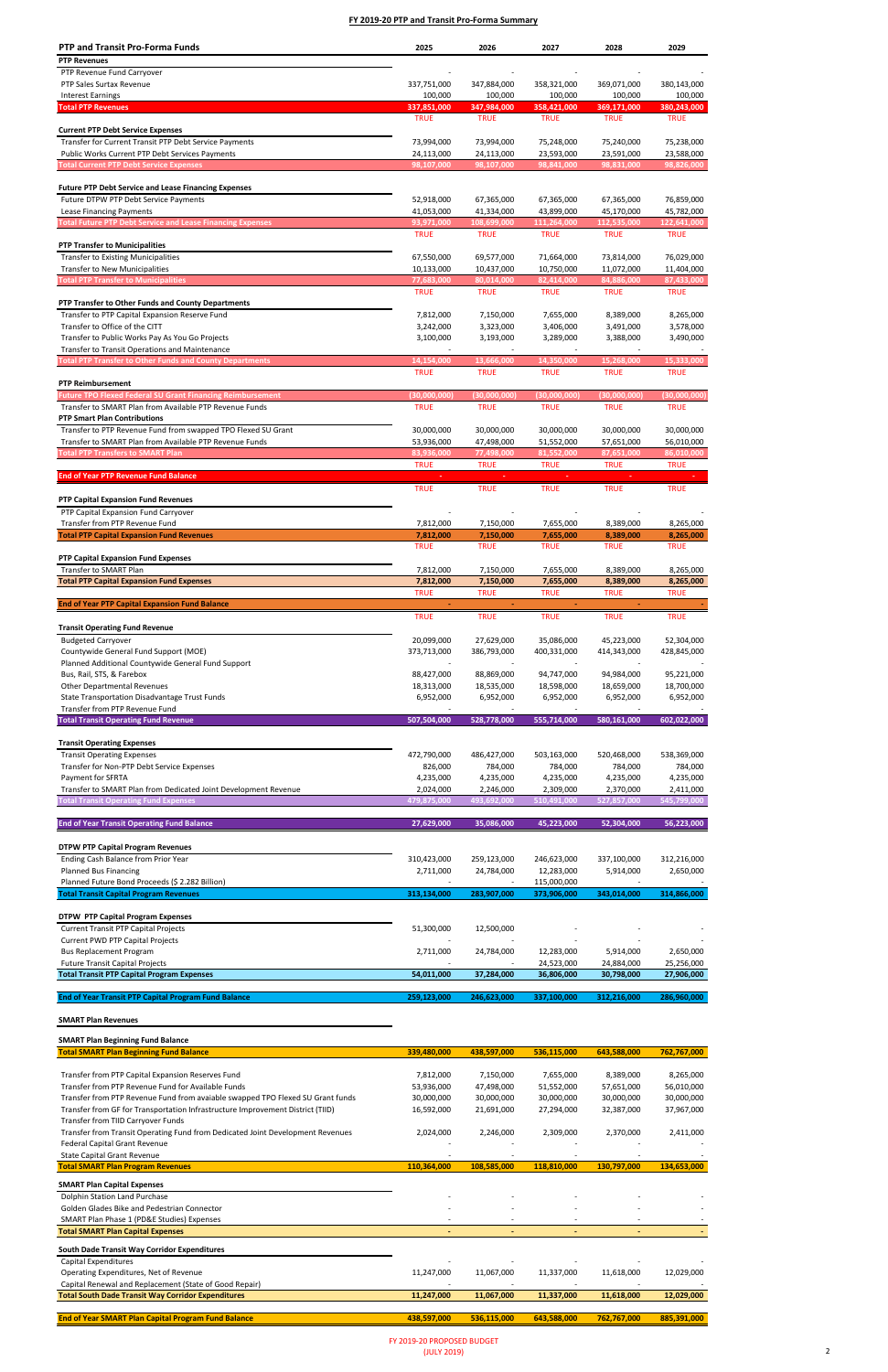# **SMART Plan Revenues**

### **SMART Plan Beginning Fund Balance**

| <b>PTP and Transit Pro-Forma Funds</b>                                                                          | 2025                     | 2026                   | 2027                     | 2028                    | 2029                     |
|-----------------------------------------------------------------------------------------------------------------|--------------------------|------------------------|--------------------------|-------------------------|--------------------------|
| <b>PTP Revenues</b>                                                                                             |                          |                        |                          |                         |                          |
| PTP Revenue Fund Carryover                                                                                      |                          |                        |                          |                         |                          |
| PTP Sales Surtax Revenue                                                                                        | 337,751,000              | 347,884,000            | 358,321,000              | 369,071,000             | 380,143,000              |
| <b>Interest Earnings</b>                                                                                        | 100,000                  | 100,000                | 100,000                  | 100,000                 | 100,000                  |
| <b>Total PTP Revenues</b>                                                                                       | 337,851,000              | 347,984,000            | 358,421,000              | 369,171,000             | 380,243,000              |
| <b>Current PTP Debt Service Expenses</b>                                                                        | <b>TRUE</b>              | <b>TRUE</b>            | <b>TRUE</b>              | <b>TRUE</b>             | <b>TRUE</b>              |
| Transfer for Current Transit PTP Debt Service Payments                                                          | 73,994,000               | 73,994,000             | 75,248,000               | 75,240,000              | 75,238,000               |
| Public Works Current PTP Debt Services Payments                                                                 | 24,113,000               | 24,113,000             | 23,593,000               | 23,591,000              | 23,588,000               |
| <b>Total Current PTP Debt Service Expenses</b>                                                                  | 98,107,000               | 98,107,000             | 98,841,000               | 98,831,000              | 98,826,000               |
|                                                                                                                 |                          |                        |                          |                         |                          |
| <b>Future PTP Debt Service and Lease Financing Expenses</b>                                                     |                          |                        |                          |                         |                          |
| Future DTPW PTP Debt Service Payments                                                                           | 52,918,000               | 67,365,000             | 67,365,000               | 67,365,000              | 76,859,000               |
| Lease Financing Payments                                                                                        | 41,053,000               | 41,334,000             | 43,899,000               | 45,170,000              | 45,782,000               |
| <b>Total Future PTP Debt Service and Lease Financing Expenses</b>                                               | 93,971,000               | 108,699,000            | 111,264,000              | 112,535,000             | 122,641,000              |
|                                                                                                                 | <b>TRUE</b>              | <b>TRUE</b>            | <b>TRUE</b>              | <b>TRUE</b>             | <b>TRUE</b>              |
| <b>PTP Transfer to Municipalities</b><br><b>Transfer to Existing Municipalities</b>                             | 67,550,000               | 69,577,000             | 71,664,000               | 73,814,000              | 76,029,000               |
| <b>Transfer to New Municipalities</b>                                                                           | 10,133,000               | 10,437,000             | 10,750,000               | 11,072,000              | 11,404,000               |
| <b>Total PTP Transfer to Municipalities</b>                                                                     | 77,683,000               | 80,014,000             | 82,414,000               | 84,886,000              | 87,433,000               |
|                                                                                                                 | <b>TRUE</b>              | <b>TRUE</b>            | <b>TRUE</b>              | <b>TRUE</b>             | <b>TRUE</b>              |
| PTP Transfer to Other Funds and County Departments                                                              |                          |                        |                          |                         |                          |
| Transfer to PTP Capital Expansion Reserve Fund                                                                  | 7,812,000                | 7,150,000              | 7,655,000                | 8,389,000               | 8,265,000                |
| Transfer to Office of the CITT                                                                                  | 3,242,000                | 3,323,000              | 3,406,000                | 3,491,000               | 3,578,000                |
| Transfer to Public Works Pay As You Go Projects                                                                 | 3,100,000                | 3,193,000              | 3,289,000                | 3,388,000               | 3,490,000                |
| Transfer to Transit Operations and Maintenance                                                                  |                          |                        |                          |                         |                          |
| <b>Fotal PTP Transfer to Other Funds and County Departments</b>                                                 | 14,154,000               | 13,666,000             | 14,350,000               | 15,268,000              | 15.333.000               |
|                                                                                                                 | <b>TRUE</b>              | <b>TRUE</b>            | <b>TRUE</b>              | <b>TRUE</b>             | <b>TRUE</b>              |
| <b>PTP Reimbursement</b><br><b>Future TPO Flexed Federal SU Grant Financing Reimbursement</b>                   | (30,000,000)             | (30,000,000)           | (30,000,000)             | (30,000,000)            | (30,000,000)             |
| Transfer to SMART Plan from Available PTP Revenue Funds                                                         | <b>TRUE</b>              | <b>TRUE</b>            | <b>TRUE</b>              | <b>TRUE</b>             | <b>TRUE</b>              |
| <b>PTP Smart Plan Contributions</b>                                                                             |                          |                        |                          |                         |                          |
| Transfer to PTP Revenue Fund from swapped TPO Flexed SU Grant                                                   | 30,000,000               | 30,000,000             | 30,000,000               | 30,000,000              | 30,000,000               |
| Transfer to SMART Plan from Available PTP Revenue Funds                                                         | 53,936,000               | 47,498,000             | 51,552,000               | 57,651,000              | 56,010,000               |
| <b>Total PTP Transfers to SMART Plan</b>                                                                        | 83,936,000               | 77,498,000             | 81,552,000               | 87,651,000              | 86,010,000               |
|                                                                                                                 | <b>TRUE</b>              | <b>TRUE</b>            | <b>TRUE</b>              | <b>TRUE</b>             | <b>TRUE</b>              |
| <b>End of Year PTP Revenue Fund Balance</b>                                                                     |                          |                        |                          |                         |                          |
|                                                                                                                 | <b>TRUE</b>              | <b>TRUE</b>            | <b>TRUE</b>              | <b>TRUE</b>             | <b>TRUE</b>              |
| <b>PTP Capital Expansion Fund Revenues</b>                                                                      |                          |                        |                          |                         |                          |
| PTP Capital Expansion Fund Carryover                                                                            |                          |                        |                          |                         |                          |
| Transfer from PTP Revenue Fund<br><b>Total PTP Capital Expansion Fund Revenues</b>                              | 7,812,000<br>7,812,000   | 7,150,000<br>7,150,000 | 7,655,000<br>7,655,000   | 8,389,000<br>8,389,000  | 8,265,000<br>8,265,000   |
|                                                                                                                 | <b>IRUE</b>              | <b>IRUE</b>            | <b>IRUE</b>              | <b>IRUE</b>             | <b>IRUE</b>              |
| <b>PTP Capital Expansion Fund Expenses</b>                                                                      |                          |                        |                          |                         |                          |
| Transfer to SMART Plan                                                                                          | 7,812,000                | 7,150,000              | 7,655,000                | 8,389,000               | 8,265,000                |
| <b>Total PTP Capital Expansion Fund Expenses</b>                                                                | 7,812,000                | 7,150,000              | 7,655,000                | 8,389,000               | 8,265,000                |
|                                                                                                                 | <b>TRUE</b>              | <b>TRUE</b>            | <b>TRUE</b>              | <b>TRUE</b>             | <b>TRUE</b>              |
| <b>End of Year PTP Capital Expansion Fund Balance</b>                                                           | ÷.                       | $\blacksquare$         | $\omega$                 | $\omega$                |                          |
|                                                                                                                 | <b>TRUE</b>              | <b>TRUE</b>            | <b>TRUE</b>              | <b>TRUE</b>             | <b>TRUE</b>              |
| <b>Transit Operating Fund Revenue</b>                                                                           |                          |                        |                          |                         |                          |
| <b>Budgeted Carryover</b>                                                                                       | 20,099,000               | 27,629,000             | 35,086,000               | 45,223,000              | 52,304,000               |
| Countywide General Fund Support (MOE)                                                                           | 373,713,000              | 386,793,000            | 400,331,000              | 414,343,000             | 428,845,000              |
| Planned Additional Countywide General Fund Support<br>Bus, Rail, STS, & Farebox                                 | 88,427,000               | 88,869,000             | 94,747,000               | 94,984,000              | 95,221,000               |
| <b>Other Departmental Revenues</b>                                                                              | 18,313,000               | 18,535,000             | 18,598,000               | 18,659,000              | 18,700,000               |
| State Transportation Disadvantage Trust Funds                                                                   | 6,952,000                | 6,952,000              | 6,952,000                | 6,952,000               | 6,952,000                |
| Transfer from PTP Revenue Fund                                                                                  |                          |                        |                          |                         |                          |
| <b>Total Transit Operating Fund Revenue</b>                                                                     | 507,504,000              | 528,778,000            | 555,714,000              | 580,161,000             | 602,022,000              |
|                                                                                                                 |                          |                        |                          |                         |                          |
| <b>Transit Operating Expenses</b>                                                                               |                          |                        |                          |                         |                          |
| <b>Transit Operating Expenses</b>                                                                               | 472,790,000              | 486,427,000            | 503,163,000              | 520,468,000             | 538,369,000              |
| Transfer for Non-PTP Debt Service Expenses                                                                      | 826,000                  | 784,000                | 784,000                  | 784,000                 | 784,000                  |
| Payment for SFRTA                                                                                               | 4,235,000                | 4,235,000              | 4,235,000                | 4,235,000               | 4,235,000                |
| Transfer to SMART Plan from Dedicated Joint Development Revenue<br><b>Total Transit Operating Fund Expenses</b> | 2,024,000<br>479,875,000 | 2,246,000              | 2,309,000<br>510,491,000 | 2,370,000               | 2,411,000<br>545,799,000 |
|                                                                                                                 |                          | 493,692,000            |                          | 527,857,000             |                          |
| <b>End of Year Transit Operating Fund Balance</b>                                                               | 27,629,000               | 35,086,000             | 45,223,000               | 52,304,000              | 56,223,000               |
|                                                                                                                 |                          |                        |                          |                         |                          |
| <b>DTPW PTP Capital Program Revenues</b>                                                                        |                          |                        |                          |                         |                          |
| Ending Cash Balance from Prior Year                                                                             | 310,423,000              | 259,123,000            | 246,623,000              | 337,100,000             | 312,216,000              |
| <b>Planned Bus Financing</b>                                                                                    | 2,711,000                | 24,784,000             | 12,283,000               | 5,914,000               | 2,650,000                |
| Planned Future Bond Proceeds (\$ 2.282 Billion)                                                                 |                          |                        | 115,000,000              |                         |                          |
| <b>Total Transit Capital Program Revenues</b>                                                                   | 313,134,000              | 283,907,000            | 373,906,000              | 343,014,000             | 314,866,000              |
|                                                                                                                 |                          |                        |                          |                         |                          |
| <b>DTPW PTP Capital Program Expenses</b>                                                                        |                          |                        |                          |                         |                          |
| <b>Current Transit PTP Capital Projects</b>                                                                     | 51,300,000               | 12,500,000             |                          |                         |                          |
| <b>Current PWD PTP Capital Projects</b><br><b>Bus Replacement Program</b>                                       |                          | $\sim$                 |                          |                         |                          |
| <b>Future Transit Capital Projects</b>                                                                          | 2,711,000                | 24,784,000             | 12,283,000<br>24,523,000 | 5,914,000<br>24,884,000 | 2,650,000<br>25,256,000  |
| <b>Total Transit PTP Capital Program Expenses</b>                                                               | 54,011,000               | 37,284,000             | 36,806,000               | 30,798,000              | 27,906,000               |
|                                                                                                                 |                          |                        |                          |                         |                          |
| <b>End of Year Transit PTP Capital Program Fund Balance</b>                                                     | 259,123,000              | 246,623,000            | 337,100,000              | 312,216,000             | 286,960,000              |

| <b>Total SMART Plan Beginning Fund Balance</b>                                 | 339,480,000 | 438,597,000 | 536,115,000 | 643,588,000    | 762,767,000 |
|--------------------------------------------------------------------------------|-------------|-------------|-------------|----------------|-------------|
|                                                                                |             |             |             |                |             |
| Transfer from PTP Capital Expansion Reserves Fund                              | 7,812,000   | 7,150,000   | 7,655,000   | 8,389,000      | 8,265,000   |
| Transfer from PTP Revenue Fund for Available Funds                             | 53,936,000  | 47.498.000  | 51,552,000  | 57,651,000     | 56,010,000  |
| Transfer from PTP Revenue Fund from avaiable swapped TPO Flexed SU Grant funds | 30,000,000  | 30,000,000  | 30,000,000  | 30,000,000     | 30,000,000  |
| Transfer from GF for Transportation Infrastructure Improvement District (TIID) | 16,592,000  | 21,691,000  | 27,294,000  | 32,387,000     | 37,967,000  |
| Transfer from TIID Carryover Funds                                             |             |             |             |                |             |
| Transfer from Transit Operating Fund from Dedicated Joint Development Revenues | 2,024,000   | 2,246,000   | 2,309,000   | 2,370,000      | 2,411,000   |
| <b>Federal Capital Grant Revenue</b>                                           |             |             |             |                |             |
| <b>State Capital Grant Revenue</b>                                             |             |             |             |                |             |
| <b>Total SMART Plan Program Revenues</b>                                       | 110,364,000 | 108,585,000 | 118,810,000 | 130,797,000    | 134,653,000 |
| <b>SMART Plan Capital Expenses</b>                                             |             |             |             |                |             |
| Dolphin Station Land Purchase                                                  |             |             |             |                |             |
| Golden Glades Bike and Pedestrian Connector                                    |             |             |             |                |             |
| SMART Plan Phase 1 (PD&E Studies) Expenses                                     |             |             |             |                |             |
| <b>Total SMART Plan Capital Expenses</b>                                       |             | ٠           | ٠           | $\blacksquare$ |             |
| South Dade Transit Way Corridor Expenditures                                   |             |             |             |                |             |
| Capital Expenditures                                                           |             |             |             |                |             |
| Operating Expenditures, Net of Revenue                                         | 11,247,000  | 11,067,000  | 11,337,000  | 11,618,000     | 12,029,000  |
| Capital Renewal and Replacement (State of Good Repair)                         |             |             |             |                |             |
| <b>Total South Dade Transit Way Corridor Expenditures</b>                      | 11,247,000  | 11,067,000  | 11,337,000  | 11,618,000     | 12,029,000  |
|                                                                                |             |             |             |                |             |
| <b>End of Year SMART Plan Capital Program Fund Balance</b>                     | 438,597,000 | 536,115,000 | 643,588,000 | 762,767,000    | 885,391,000 |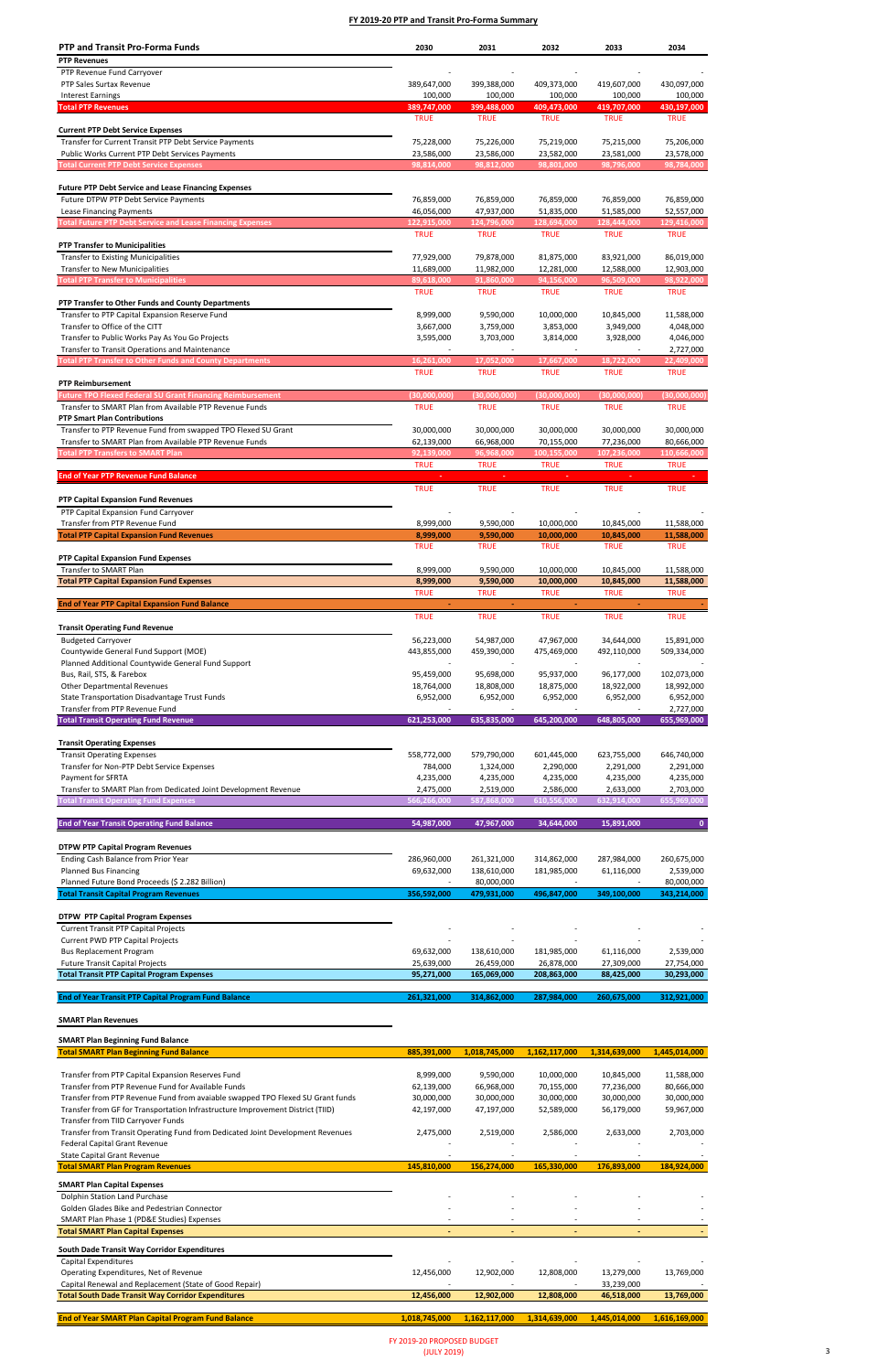# **SMART Plan Revenues**

### **SMART Plan Beginning Fund Balance**

| <b>PTP and Transit Pro-Forma Funds</b>                            | 2030                      | 2031                     | 2032                      | 2033                      | 2034                      |
|-------------------------------------------------------------------|---------------------------|--------------------------|---------------------------|---------------------------|---------------------------|
| <b>PTP Revenues</b>                                               |                           |                          |                           |                           |                           |
| PTP Revenue Fund Carryover                                        |                           |                          |                           |                           |                           |
| PTP Sales Surtax Revenue                                          | 389,647,000               | 399,388,000              | 409,373,000               | 419,607,000               | 430,097,000               |
| <b>Interest Earnings</b>                                          | 100,000                   | 100,000                  | 100,000                   | 100,000                   | 100,000                   |
| <b>Total PTP Revenues</b>                                         | 389,747,000               | 399,488,000              | 409,473,000               | 419,707,000               | 430,197,000               |
|                                                                   | <b>TRUE</b>               | <b>TRUE</b>              | <b>TRUE</b>               | <b>TRUE</b>               | <b>TRUE</b>               |
| <b>Current PTP Debt Service Expenses</b>                          |                           |                          |                           |                           |                           |
| Transfer for Current Transit PTP Debt Service Payments            | 75,228,000                | 75,226,000               | 75,219,000                | 75,215,000                | 75,206,000                |
| Public Works Current PTP Debt Services Payments                   | 23,586,000                | 23,586,000               | 23,582,000                | 23,581,000<br>98,796,000  | 23,578,000<br>98,784,000  |
| <b>Total Current PTP Debt Service Expenses</b>                    | 98,814,000                | 98,812,000               | 98,801,000                |                           |                           |
| <b>Future PTP Debt Service and Lease Financing Expenses</b>       |                           |                          |                           |                           |                           |
| Future DTPW PTP Debt Service Payments                             | 76,859,000                | 76,859,000               | 76,859,000                | 76,859,000                | 76,859,000                |
| Lease Financing Payments                                          | 46,056,000                | 47,937,000               | 51,835,000                | 51,585,000                | 52,557,000                |
| <b>Total Future PTP Debt Service and Lease Financing Expenses</b> | 122,915,000               | 124,796,000              | 128,694,000               | 128,444,000               | 129,416,000               |
|                                                                   | <b>TRUE</b>               | <b>TRUE</b>              | <b>TRUE</b>               | <b>TRUE</b>               | <b>TRUE</b>               |
| <b>PTP Transfer to Municipalities</b>                             |                           |                          |                           |                           |                           |
| <b>Transfer to Existing Municipalities</b>                        | 77,929,000                | 79,878,000               | 81,875,000                | 83,921,000                | 86,019,000                |
| <b>Transfer to New Municipalities</b>                             | 11,689,000                | 11,982,000               | 12,281,000                | 12,588,000                | 12,903,000                |
| <b>Total PTP Transfer to Municipalities</b>                       | 89,618,000                | 91,860,000               | 94,156,000                | 96,509,000                | 98,922,000                |
|                                                                   | <b>TRUE</b>               | <b>TRUE</b>              | <b>TRUE</b>               | <b>TRUE</b>               | <b>TRUE</b>               |
| PTP Transfer to Other Funds and County Departments                |                           |                          |                           |                           |                           |
| Transfer to PTP Capital Expansion Reserve Fund                    | 8,999,000                 | 9,590,000                | 10,000,000                | 10,845,000                | 11,588,000                |
| Transfer to Office of the CITT                                    | 3,667,000                 | 3,759,000                | 3,853,000                 | 3,949,000                 | 4,048,000                 |
| Transfer to Public Works Pay As You Go Projects                   | 3,595,000                 | 3,703,000                | 3,814,000                 | 3,928,000                 | 4,046,000                 |
| Transfer to Transit Operations and Maintenance                    |                           |                          |                           |                           | 2,727,000                 |
| <b>Fotal PTP Transfer to Other Funds and County Departments</b>   | 16,261,000<br><b>TRUE</b> | 17,052,000               | 17,667,000                | 18,722,000<br><b>TRUE</b> | 22,409,000<br><b>TRUE</b> |
| <b>PTP Reimbursement</b>                                          |                           | <b>TRUE</b>              | <b>TRUE</b>               |                           |                           |
| <b>Future TPO Flexed Federal SU Grant Financing Reimbursement</b> | (30,000,000)              | (30,000,000)             | (30,000,000)              | (30,000,000)              | (30,000,000)              |
| Transfer to SMART Plan from Available PTP Revenue Funds           | <b>TRUE</b>               | <b>TRUE</b>              | <b>TRUE</b>               | <b>TRUE</b>               | <b>TRUE</b>               |
| <b>PTP Smart Plan Contributions</b>                               |                           |                          |                           |                           |                           |
| Transfer to PTP Revenue Fund from swapped TPO Flexed SU Grant     | 30,000,000                | 30,000,000               | 30,000,000                | 30,000,000                | 30,000,000                |
| Transfer to SMART Plan from Available PTP Revenue Funds           | 62,139,000                | 66,968,000               | 70,155,000                | 77,236,000                | 80,666,000                |
| Total PTP Transfers to SMART Plan                                 | 92,139,000                | 96,968,000               | 100,155,000               | 107,236,000               | 110,666,000               |
|                                                                   | <b>TRUE</b>               | <b>TRUE</b>              | <b>TRUE</b>               | <b>TRUE</b>               | <b>TRUE</b>               |
| <b>End of Year PTP Revenue Fund Balance</b>                       |                           |                          |                           |                           |                           |
|                                                                   | <b>TRUE</b>               | <b>TRUE</b>              | <b>TRUE</b>               | <b>TRUE</b>               | <b>TRUE</b>               |
| <b>PTP Capital Expansion Fund Revenues</b>                        |                           |                          |                           |                           |                           |
| PTP Capital Expansion Fund Carryover                              |                           |                          |                           |                           |                           |
| Transfer from PTP Revenue Fund                                    | 8,999,000                 | 9,590,000                | 10,000,000                | 10,845,000                | 11,588,000                |
| <b>Total PTP Capital Expansion Fund Revenues</b>                  | 8,999,000                 | 9,590,000                | 10,000,000                | 10,845,000                | 11,588,000                |
|                                                                   | TRUE                      | <b>TRUE</b>              | TRUE                      | <b>TRUE</b>               | <b>TRUE</b>               |
| <b>PTP Capital Expansion Fund Expenses</b>                        |                           |                          |                           |                           |                           |
| Transfer to SMART Plan                                            | 8,999,000                 | 9,590,000                | 10,000,000                | 10,845,000                | 11,588,000                |
| <b>Total PTP Capital Expansion Fund Expenses</b>                  | 8,999,000<br><b>TRUE</b>  | 9,590,000<br><b>TRUE</b> | 10,000,000<br><b>TRUE</b> | 10,845,000<br><b>TRUE</b> | 11,588,000<br><b>TRUE</b> |
| <b>End of Year PTP Capital Expansion Fund Balance</b>             | $\omega_{\rm{eff}}$       | $\blacksquare$           | $\sim$                    | $\omega$                  |                           |
|                                                                   | <b>TRUE</b>               | <b>TRUE</b>              | <b>TRUE</b>               | <b>TRUE</b>               | <b>TRUE</b>               |
| <b>Transit Operating Fund Revenue</b>                             |                           |                          |                           |                           |                           |
| <b>Budgeted Carryover</b>                                         | 56,223,000                | 54,987,000               | 47,967,000                | 34,644,000                | 15,891,000                |
| Countywide General Fund Support (MOE)                             | 443,855,000               | 459,390,000              | 475,469,000               | 492,110,000               | 509,334,000               |
| Planned Additional Countywide General Fund Support                |                           |                          |                           |                           |                           |
| Bus, Rail, STS, & Farebox                                         | 95,459,000                | 95,698,000               | 95,937,000                | 96,177,000                | 102,073,000               |
| <b>Other Departmental Revenues</b>                                | 18,764,000                | 18,808,000               | 18,875,000                | 18,922,000                | 18,992,000                |
| State Transportation Disadvantage Trust Funds                     | 6,952,000                 | 6,952,000                | 6,952,000                 | 6,952,000                 | 6,952,000                 |
| Transfer from PTP Revenue Fund                                    |                           |                          |                           |                           | 2,727,000                 |
| <b>Total Transit Operating Fund Revenue</b>                       | 621,253,000               | 635,835,000              | 645,200,000               | 648,805,000               | 655,969,000               |
|                                                                   |                           |                          |                           |                           |                           |
| <b>Transit Operating Expenses</b>                                 |                           |                          |                           |                           |                           |
| <b>Transit Operating Expenses</b>                                 | 558,772,000               | 579,790,000              | 601,445,000               | 623,755,000               | 646,740,000               |
| Transfer for Non-PTP Debt Service Expenses                        | 784,000                   | 1,324,000                | 2,290,000                 | 2,291,000                 | 2,291,000                 |
| Payment for SFRTA                                                 | 4,235,000                 | 4,235,000                | 4,235,000                 | 4,235,000                 | 4,235,000                 |
| Transfer to SMART Plan from Dedicated Joint Development Revenue   | 2,475,000                 | 2,519,000                | 2,586,000                 | 2,633,000                 | 2,703,000                 |
| <b>Total Transit Operating Fund Expenses</b>                      | 566,266,000               | 587,868,000              | 610,556,000               | 632,914,000               | 655,969,000               |
|                                                                   |                           |                          |                           |                           |                           |
| <b>End of Year Transit Operating Fund Balance</b>                 | 54,987,000                | 47,967,000               | 34,644,000                | 15,891,000                | $\mathbf{0}$              |
| <b>DTPW PTP Capital Program Revenues</b>                          |                           |                          |                           |                           |                           |
| Ending Cash Balance from Prior Year                               | 286,960,000               | 261,321,000              | 314,862,000               | 287,984,000               |                           |
| <b>Planned Bus Financing</b>                                      | 69,632,000                | 138,610,000              | 181,985,000               | 61,116,000                | 260,675,000<br>2,539,000  |
| Planned Future Bond Proceeds (\$ 2.282 Billion)                   |                           | 80,000,000               |                           |                           | 80,000,000                |
| <b>Total Transit Capital Program Revenues</b>                     | 356,592,000               | 479,931,000              | 496,847,000               | 349,100,000               | 343,214,000               |
|                                                                   |                           |                          |                           |                           |                           |
| <b>DTPW PTP Capital Program Expenses</b>                          |                           |                          |                           |                           |                           |
| <b>Current Transit PTP Capital Projects</b>                       |                           |                          |                           |                           |                           |
| <b>Current PWD PTP Capital Projects</b>                           |                           |                          |                           |                           |                           |
| <b>Bus Replacement Program</b>                                    | 69,632,000                | 138,610,000              | 181,985,000               | 61,116,000                | 2,539,000                 |
| <b>Future Transit Capital Projects</b>                            | 25,639,000                | 26,459,000               | 26,878,000                | 27,309,000                | 27,754,000                |
| <b>Total Transit PTP Capital Program Expenses</b>                 | 95,271,000                | 165,069,000              | 208,863,000               | 88,425,000                | 30,293,000                |
|                                                                   |                           |                          |                           |                           |                           |
| <b>End of Year Transit PTP Capital Program Fund Balance</b>       | 261,321,000               | 314,862,000              | 287,984,000               | 260,675,000               | 312,921,000               |

| <b>Total SMART Plan Beginning Fund Balance</b>                                 | 885,391,000   | 1,018,745,000 | 1,162,117,000 | 1,314,639,000 | 1,445,014,000 |
|--------------------------------------------------------------------------------|---------------|---------------|---------------|---------------|---------------|
|                                                                                |               |               |               |               |               |
| Transfer from PTP Capital Expansion Reserves Fund                              | 8,999,000     | 9,590,000     | 10,000,000    | 10,845,000    | 11,588,000    |
| Transfer from PTP Revenue Fund for Available Funds                             | 62,139,000    | 66,968,000    | 70,155,000    | 77,236,000    | 80,666,000    |
| Transfer from PTP Revenue Fund from avaiable swapped TPO Flexed SU Grant funds | 30,000,000    | 30,000,000    | 30,000,000    | 30,000,000    | 30,000,000    |
| Transfer from GF for Transportation Infrastructure Improvement District (TIID) | 42,197,000    | 47,197,000    | 52,589,000    | 56,179,000    | 59,967,000    |
| Transfer from TIID Carryover Funds                                             |               |               |               |               |               |
| Transfer from Transit Operating Fund from Dedicated Joint Development Revenues | 2,475,000     | 2,519,000     | 2,586,000     | 2,633,000     | 2,703,000     |
| Federal Capital Grant Revenue                                                  |               |               |               |               |               |
| <b>State Capital Grant Revenue</b>                                             |               |               |               |               |               |
| <b>Total SMART Plan Program Revenues</b>                                       | 145,810,000   | 156,274,000   | 165,330,000   | 176,893,000   | 184,924,000   |
| <b>SMART Plan Capital Expenses</b>                                             |               |               |               |               |               |
| Dolphin Station Land Purchase                                                  |               |               |               |               |               |
| Golden Glades Bike and Pedestrian Connector                                    |               |               |               |               |               |
| SMART Plan Phase 1 (PD&E Studies) Expenses                                     |               |               |               |               |               |
| <b>Total SMART Plan Capital Expenses</b>                                       |               | ٠             |               | $\sim$        |               |
| South Dade Transit Way Corridor Expenditures                                   |               |               |               |               |               |
| Capital Expenditures                                                           |               |               |               |               |               |
| Operating Expenditures, Net of Revenue                                         | 12,456,000    | 12,902,000    | 12,808,000    | 13,279,000    | 13,769,000    |
| Capital Renewal and Replacement (State of Good Repair)                         |               |               |               | 33,239,000    |               |
| <b>Total South Dade Transit Way Corridor Expenditures</b>                      | 12,456,000    | 12,902,000    | 12,808,000    | 46,518,000    | 13,769,000    |
|                                                                                |               |               |               |               |               |
| <b>End of Year SMART Plan Capital Program Fund Balance</b>                     | 1,018,745,000 | 1,162,117,000 | 1,314,639,000 | 1,445,014,000 | 1,616,169,000 |
|                                                                                |               |               |               |               |               |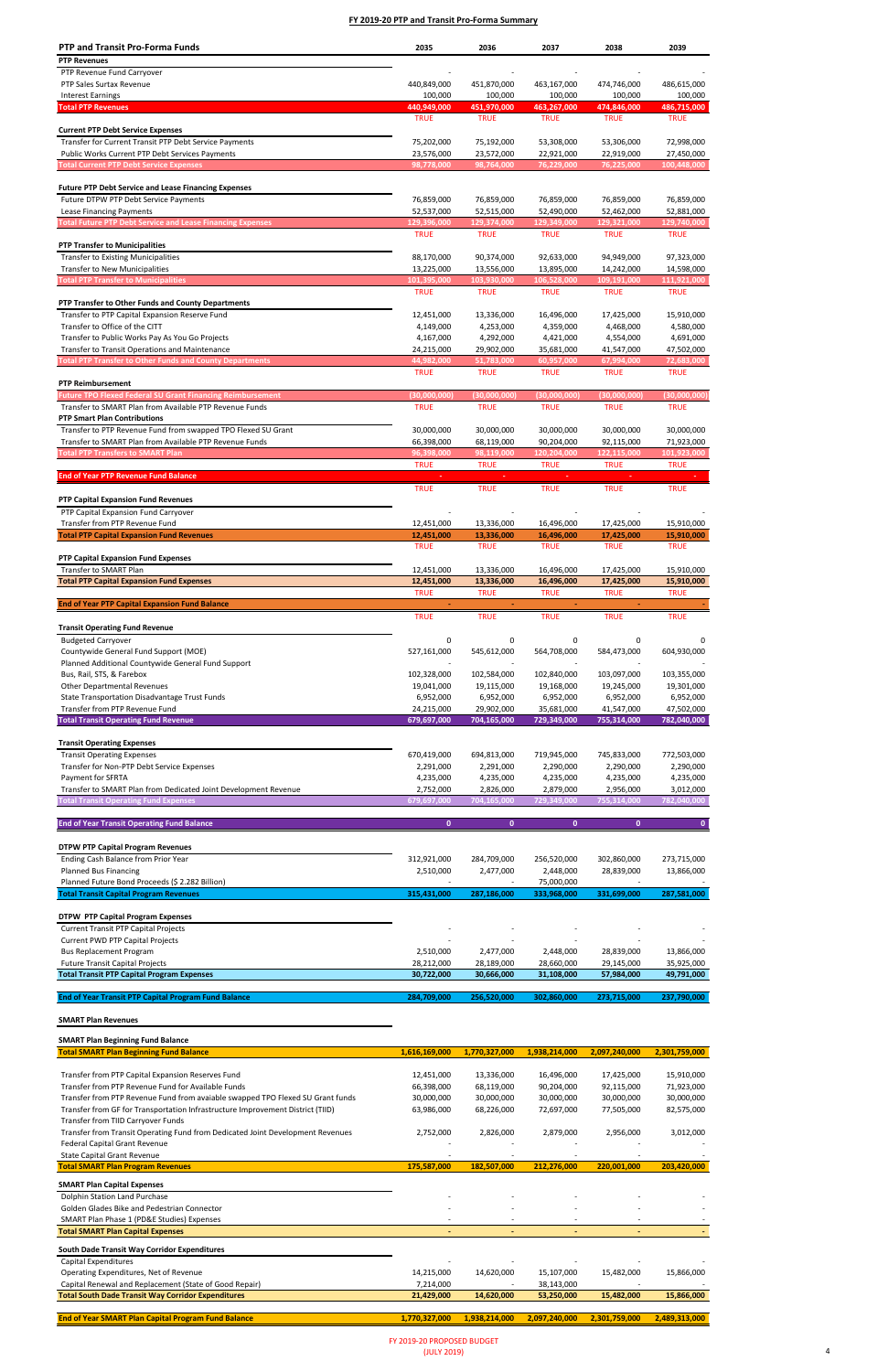# **SMART Plan Revenues**

### **SMART Plan Beginning Fund Balance**

| <b>PTP and Transit Pro-Forma Funds</b>                                              | 2035                      | 2036                      | 2037                      | 2038                       | 2039                      |
|-------------------------------------------------------------------------------------|---------------------------|---------------------------|---------------------------|----------------------------|---------------------------|
| <b>PTP Revenues</b>                                                                 |                           |                           |                           |                            |                           |
| PTP Revenue Fund Carryover                                                          |                           |                           |                           |                            |                           |
| PTP Sales Surtax Revenue                                                            | 440,849,000               | 451,870,000               | 463,167,000               | 474,746,000                | 486,615,000               |
| <b>Interest Earnings</b>                                                            | 100,000                   | 100,000                   | 100,000                   | 100,000                    | 100,000                   |
| <b>Total PTP Revenues</b>                                                           | 440,949,000               | 451,970,000               | 463,267,000               | 474,846,000                | 486,715,000               |
|                                                                                     | <b>TRUE</b>               | <b>TRUE</b>               | <b>TRUE</b>               | <b>TRUE</b>                | <b>TRUE</b>               |
| <b>Current PTP Debt Service Expenses</b>                                            |                           |                           |                           |                            |                           |
| Transfer for Current Transit PTP Debt Service Payments                              | 75,202,000                | 75,192,000                | 53,308,000                | 53,306,000                 | 72,998,000                |
| Public Works Current PTP Debt Services Payments                                     | 23,576,000                | 23,572,000                | 22,921,000                | 22,919,000                 | 27,450,000                |
| <b>Total Current PTP Debt Service Expenses</b>                                      | 98,778,000                | 98,764,000                | 76,229,000                | 76,225,000                 | 100,448,000               |
|                                                                                     |                           |                           |                           |                            |                           |
| <b>Future PTP Debt Service and Lease Financing Expenses</b>                         |                           |                           |                           |                            |                           |
| Future DTPW PTP Debt Service Payments                                               | 76,859,000                | 76,859,000                | 76,859,000                | 76,859,000                 | 76,859,000                |
| Lease Financing Payments                                                            | 52,537,000                | 52,515,000                | 52,490,000                | 52,462,000                 | 52,881,000                |
| <b>Total Future PTP Debt Service and Lease Financing Expenses</b>                   | 129,396,000               | 129,374,000               | 129,349,000               | 129,321,000<br><b>TRUE</b> | 129,740,000               |
|                                                                                     | <b>TRUE</b>               | <b>TRUE</b>               | <b>TRUE</b>               |                            | <b>TRUE</b>               |
| <b>PTP Transfer to Municipalities</b><br><b>Transfer to Existing Municipalities</b> |                           | 90,374,000                |                           | 94,949,000                 |                           |
| <b>Transfer to New Municipalities</b>                                               | 88,170,000<br>13,225,000  | 13,556,000                | 92,633,000<br>13,895,000  | 14,242,000                 | 97,323,000<br>14,598,000  |
| <b>Total PTP Transfer to Municipalities</b>                                         | 101,395,000               | 103,930,000               | 106,528,000               | 109,191,000                | 111,921,000               |
|                                                                                     | <b>TRUE</b>               | <b>TRUE</b>               | <b>TRUE</b>               | <b>TRUE</b>                | <b>TRUE</b>               |
| PTP Transfer to Other Funds and County Departments                                  |                           |                           |                           |                            |                           |
| Transfer to PTP Capital Expansion Reserve Fund                                      | 12,451,000                | 13,336,000                | 16,496,000                | 17,425,000                 | 15,910,000                |
| Transfer to Office of the CITT                                                      | 4,149,000                 | 4,253,000                 | 4,359,000                 | 4,468,000                  | 4,580,000                 |
| Transfer to Public Works Pay As You Go Projects                                     | 4,167,000                 | 4,292,000                 | 4,421,000                 | 4,554,000                  | 4,691,000                 |
| Transfer to Transit Operations and Maintenance                                      | 24,215,000                | 29,902,000                | 35,681,000                | 41,547,000                 | 47,502,000                |
| <b>Total PTP Transfer to Other Funds and County Departments</b>                     | 44,982,000                | 51,783,000                | 60,957,000                | 67,994,000                 | 72,683,000                |
|                                                                                     | <b>TRUE</b>               | <b>TRUE</b>               | <b>TRUE</b>               | <b>TRUE</b>                | <b>TRUE</b>               |
| <b>PTP Reimbursement</b>                                                            |                           |                           |                           |                            |                           |
| <b>Future TPO Flexed Federal SU Grant Financing Reimbursement</b>                   | (30,000,000)              | (30,000,000)              | (30,000,000)              | (30,000,000)               | (30,000,000)              |
| Transfer to SMART Plan from Available PTP Revenue Funds                             | <b>TRUE</b>               | <b>TRUE</b>               | <b>TRUE</b>               | <b>TRUE</b>                | <b>TRUE</b>               |
| <b>PTP Smart Plan Contributions</b>                                                 |                           |                           |                           |                            |                           |
| Transfer to PTP Revenue Fund from swapped TPO Flexed SU Grant                       | 30,000,000                | 30,000,000                | 30,000,000                | 30,000,000                 | 30,000,000                |
| Transfer to SMART Plan from Available PTP Revenue Funds                             | 66,398,000                | 68,119,000                | 90,204,000                | 92,115,000                 | 71,923,000                |
| <b>Total PTP Transfers to SMART Plan</b>                                            | 96,398,000                | 98,119,000                | 120,204,000               | 122,115,000                | 101,923,000               |
|                                                                                     | <b>TRUE</b>               | <b>TRUE</b>               | <b>TRUE</b>               | <b>TRUE</b>                | <b>TRUE</b>               |
| <b>End of Year PTP Revenue Fund Balance</b>                                         |                           |                           |                           |                            |                           |
|                                                                                     | <b>TRUE</b>               | <b>TRUE</b>               | <b>TRUE</b>               | <b>TRUE</b>                | <b>TRUE</b>               |
| <b>PTP Capital Expansion Fund Revenues</b>                                          |                           |                           |                           |                            |                           |
| PTP Capital Expansion Fund Carryover                                                |                           |                           |                           |                            |                           |
| Transfer from PTP Revenue Fund                                                      | 12,451,000                | 13,336,000                | 16,496,000                | 17,425,000                 | 15,910,000                |
| <b>Total PTP Capital Expansion Fund Revenues</b>                                    | 12,451,000                | 13,336,000                | 16,496,000                | 17,425,000                 | 15,910,000                |
|                                                                                     | TRUE                      | <b>TRUE</b>               | <b>TRUE</b>               | TRUE                       | TRUE                      |
| <b>PTP Capital Expansion Fund Expenses</b>                                          |                           |                           |                           |                            |                           |
| Transfer to SMART Plan                                                              | 12,451,000                | 13,336,000                | 16,496,000                | 17,425,000                 | 15,910,000                |
| <b>Total PTP Capital Expansion Fund Expenses</b>                                    | 12,451,000<br><b>TRUE</b> | 13,336,000<br><b>TRUE</b> | 16,496,000<br><b>TRUE</b> | 17,425,000<br><b>TRUE</b>  | 15,910,000<br><b>TRUE</b> |
| <b>End of Year PTP Capital Expansion Fund Balance</b>                               |                           |                           | $\blacksquare$            |                            |                           |
|                                                                                     | <b>TRUE</b>               | <b>TRUE</b>               | <b>TRUE</b>               | <b>TRUE</b>                | <b>TRUE</b>               |
|                                                                                     |                           |                           |                           |                            |                           |
| <b>Transit Operating Fund Revenue</b><br><b>Budgeted Carryover</b>                  |                           |                           |                           |                            |                           |
| Countywide General Fund Support (MOE)                                               | 0<br>527,161,000          | 0<br>545,612,000          | 0<br>564,708,000          | 0<br>584,473,000           | 0<br>604,930,000          |
| Planned Additional Countywide General Fund Support                                  |                           |                           |                           |                            |                           |
| Bus, Rail, STS, & Farebox                                                           | 102,328,000               | 102,584,000               | 102,840,000               | 103,097,000                | 103,355,000               |
| <b>Other Departmental Revenues</b>                                                  | 19,041,000                | 19,115,000                | 19,168,000                | 19,245,000                 | 19,301,000                |
| State Transportation Disadvantage Trust Funds                                       | 6,952,000                 | 6,952,000                 | 6,952,000                 | 6,952,000                  | 6,952,000                 |
| Transfer from PTP Revenue Fund                                                      | 24,215,000                | 29,902,000                | 35,681,000                | 41,547,000                 | 47,502,000                |
| <b>Total Transit Operating Fund Revenue</b>                                         | 679,697,000               | 704,165,000               | 729,349,000               | 755,314,000                | 782,040,000               |
|                                                                                     |                           |                           |                           |                            |                           |
| <b>Transit Operating Expenses</b>                                                   |                           |                           |                           |                            |                           |
| <b>Transit Operating Expenses</b>                                                   | 670,419,000               | 694,813,000               | 719,945,000               | 745,833,000                | 772,503,000               |
| Transfer for Non-PTP Debt Service Expenses                                          | 2,291,000                 | 2,291,000                 | 2,290,000                 | 2,290,000                  | 2,290,000                 |
| <b>Payment for SFRTA</b>                                                            | 4,235,000                 | 4,235,000                 | 4,235,000                 | 4,235,000                  | 4,235,000                 |
| Transfer to SMART Plan from Dedicated Joint Development Revenue                     | 2,752,000                 | 2,826,000                 | 2,879,000                 | 2,956,000                  | 3,012,000                 |
| <b>Fotal Transit Operating Fund Expenses</b>                                        | 679,697,000               | 704,165,000               | 729,349,000               | 755,314,000                | 782,040,000               |
|                                                                                     |                           |                           |                           |                            |                           |
| <b>End of Year Transit Operating Fund Balance</b>                                   | $\mathbf{0}$              | $\mathbf{0}$              | $\mathbf{0}$              | $\mathbf{0}$               | $\mathbf{0}$              |
|                                                                                     |                           |                           |                           |                            |                           |
| <b>DTPW PTP Capital Program Revenues</b>                                            |                           |                           |                           |                            |                           |
| Ending Cash Balance from Prior Year                                                 | 312,921,000               | 284,709,000               | 256,520,000               | 302,860,000                | 273,715,000               |
| <b>Planned Bus Financing</b>                                                        | 2,510,000                 | 2,477,000                 | 2,448,000                 | 28,839,000                 | 13,866,000                |
| Planned Future Bond Proceeds (\$ 2.282 Billion)                                     |                           |                           | 75,000,000                |                            |                           |
| <b>Total Transit Capital Program Revenues</b>                                       | 315,431,000               | 287,186,000               | 333,968,000               | 331,699,000                | 287,581,000               |
|                                                                                     |                           |                           |                           |                            |                           |
| <b>DTPW PTP Capital Program Expenses</b>                                            |                           |                           |                           |                            |                           |
| <b>Current Transit PTP Capital Projects</b>                                         |                           |                           |                           |                            |                           |
| <b>Current PWD PTP Capital Projects</b>                                             |                           |                           |                           |                            |                           |
| <b>Bus Replacement Program</b>                                                      | 2,510,000                 | 2,477,000                 | 2,448,000                 | 28,839,000                 | 13,866,000                |
| <b>Future Transit Capital Projects</b>                                              | 28,212,000                | 28,189,000                | 28,660,000                | 29,145,000                 | 35,925,000                |
| <b>Total Transit PTP Capital Program Expenses</b>                                   | 30,722,000                | 30,666,000                | 31,108,000                | 57,984,000                 | 49,791,000                |
| <b>End of Year Transit PTP Capital Program Fund Balance</b>                         | 284,709,000               | 256,520,000               | 302,860,000               | 273,715,000                | 237,790,000               |
|                                                                                     |                           |                           |                           |                            |                           |

| 1,616,169,000 | 1,770,327,000 | 1,938,214,000 | 2,097,240,000 | 2,301,759,000 |
|---------------|---------------|---------------|---------------|---------------|
|               |               |               |               |               |
| 12,451,000    | 13,336,000    | 16,496,000    | 17,425,000    | 15,910,000    |
| 66,398,000    | 68,119,000    | 90,204,000    | 92,115,000    | 71,923,000    |
| 30,000,000    | 30,000,000    | 30,000,000    | 30,000,000    | 30,000,000    |
| 63,986,000    | 68,226,000    | 72,697,000    | 77,505,000    | 82,575,000    |
|               |               |               |               |               |
| 2,752,000     | 2,826,000     | 2,879,000     | 2,956,000     | 3,012,000     |
|               |               |               |               |               |
|               |               |               |               |               |
| 175,587,000   | 182,507,000   | 212,276,000   | 220,001,000   | 203,420,000   |
|               |               |               |               |               |
|               |               |               |               |               |
|               |               |               |               |               |
|               |               |               |               |               |
|               |               |               | ٠             |               |
|               |               |               |               |               |
|               |               |               |               |               |
| 14,215,000    | 14,620,000    | 15,107,000    | 15,482,000    | 15,866,000    |
| 7,214,000     |               | 38,143,000    |               |               |
| 21,429,000    | 14,620,000    | 53,250,000    | 15,482,000    | 15,866,000    |
|               |               |               |               |               |
| 1,770,327,000 | 1,938,214,000 | 2,097,240,000 | 2,301,759,000 | 2,489,313,000 |
|               |               |               |               |               |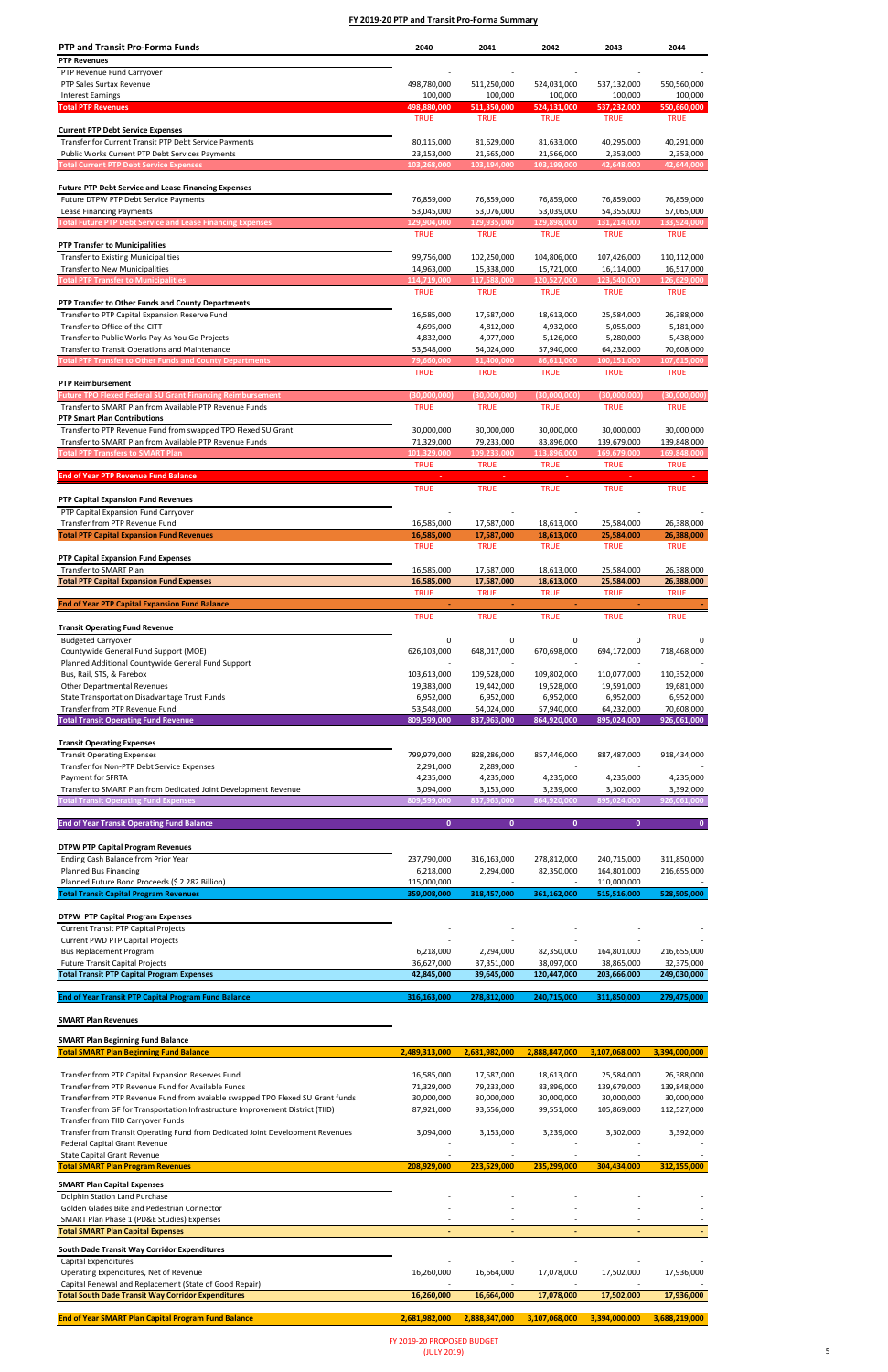**End of Year Transit PTP Capital Program Fund Balance**

# **SMART Plan Revenues**

### **SMART Plan Beginning Fund Balance**

| <b>PTP and Transit Pro-Forma Funds</b>                            | 2040                     | 2041         | 2042         | 2043                    | 2044         |
|-------------------------------------------------------------------|--------------------------|--------------|--------------|-------------------------|--------------|
| <b>PTP Revenues</b>                                               |                          |              |              |                         |              |
| PTP Revenue Fund Carryover                                        |                          |              |              |                         |              |
| PTP Sales Surtax Revenue                                          | 498,780,000              | 511,250,000  | 524,031,000  | 537,132,000             | 550,560,000  |
| <b>Interest Earnings</b>                                          | 100,000                  | 100,000      | 100,000      | 100,000                 | 100,000      |
| <b>Total PTP Revenues</b>                                         | 498,880,000              | 511,350,000  | 524,131,000  | 537,232,000             | 550,660,000  |
|                                                                   | <b>TRUE</b>              | <b>TRUE</b>  | <b>TRUE</b>  | <b>TRUE</b>             | <b>TRUE</b>  |
| <b>Current PTP Debt Service Expenses</b>                          |                          |              |              |                         |              |
| Transfer for Current Transit PTP Debt Service Payments            |                          | 81,629,000   |              | 40,295,000              |              |
|                                                                   | 80,115,000<br>23,153,000 | 21,565,000   | 81,633,000   |                         | 40,291,000   |
| <b>Public Works Current PTP Debt Services Payments</b>            |                          |              | 21,566,000   | 2,353,000<br>42,648,000 | 2,353,000    |
| <b>Total Current PTP Debt Service Expenses</b>                    | 103,268,000              | 103,194,000  | 103,199,000  |                         | 42,644,000   |
|                                                                   |                          |              |              |                         |              |
| <b>Future PTP Debt Service and Lease Financing Expenses</b>       |                          |              |              |                         |              |
| Future DTPW PTP Debt Service Payments                             | 76,859,000               | 76,859,000   | 76,859,000   | 76,859,000              | 76,859,000   |
| Lease Financing Payments                                          | 53,045,000               | 53,076,000   | 53,039,000   | 54,355,000              | 57,065,000   |
| <b>Total Future PTP Debt Service and Lease Financing Expenses</b> | 129,904,000              | 129,935,000  | 129,898,000  | 131,214,000             | 133,924,000  |
|                                                                   | <b>TRUE</b>              | <b>TRUE</b>  | <b>TRUE</b>  | <b>TRUE</b>             | <b>TRUE</b>  |
| <b>PTP Transfer to Municipalities</b>                             |                          |              |              |                         |              |
| <b>Transfer to Existing Municipalities</b>                        | 99,756,000               | 102,250,000  | 104,806,000  | 107,426,000             | 110,112,000  |
| <b>Transfer to New Municipalities</b>                             | 14,963,000               | 15,338,000   | 15,721,000   | 16,114,000              | 16,517,000   |
| <b>Total PTP Transfer to Municipalities</b>                       | 114,719,000              | 117,588,000  | 120,527,000  | 123,540,000             | 126,629,000  |
|                                                                   | <b>TRUE</b>              | <b>TRUE</b>  | <b>TRUE</b>  | <b>TRUE</b>             | <b>TRUE</b>  |
| PTP Transfer to Other Funds and County Departments                |                          |              |              |                         |              |
| Transfer to PTP Capital Expansion Reserve Fund                    | 16,585,000               | 17,587,000   | 18,613,000   | 25,584,000              | 26,388,000   |
| Transfer to Office of the CITT                                    | 4,695,000                | 4,812,000    | 4,932,000    | 5,055,000               | 5,181,000    |
| Transfer to Public Works Pay As You Go Projects                   | 4,832,000                | 4,977,000    | 5,126,000    | 5,280,000               | 5,438,000    |
| Transfer to Transit Operations and Maintenance                    | 53,548,000               | 54,024,000   | 57,940,000   | 64,232,000              | 70,608,000   |
| <b>Total PTP Transfer to Other Funds and County Departments</b>   | 79,660,000               | 81,400,000   | 86,611,000   | 100,151,000             | 107,615,000  |
|                                                                   | <b>TRUE</b>              | <b>TRUE</b>  | <b>TRUE</b>  | <b>TRUE</b>             | <b>TRUE</b>  |
| <b>PTP Reimbursement</b>                                          |                          |              |              |                         |              |
| <b>Future TPO Flexed Federal SU Grant Financing Reimbursement</b> | (30,000,000)             | (30,000,000) | (30,000,000) | (30,000,000)            | (30,000,000) |
| Transfer to SMART Plan from Available PTP Revenue Funds           | <b>TRUE</b>              | <b>TRUE</b>  | <b>TRUE</b>  | <b>TRUE</b>             | <b>TRUE</b>  |
| <b>PTP Smart Plan Contributions</b>                               |                          |              |              |                         |              |
| Transfer to PTP Revenue Fund from swapped TPO Flexed SU Grant     | 30,000,000               | 30,000,000   |              | 30,000,000              | 30,000,000   |
|                                                                   |                          |              | 30,000,000   |                         |              |
| Transfer to SMART Plan from Available PTP Revenue Funds           | 71,329,000               | 79,233,000   | 83,896,000   | 139,679,000             | 139,848,000  |
| <b>Total PTP Transfers to SMART Plan</b>                          | 101,329,000              | 109,233,000  | 113,896,000  | 169,679,000             | 169,848,000  |
|                                                                   | <b>TRUE</b>              | <b>TRUE</b>  | <b>TRUE</b>  | <b>TRUE</b>             | <b>TRUE</b>  |
| <b>End of Year PTP Revenue Fund Balance</b>                       |                          |              |              |                         |              |
|                                                                   | <b>TRUE</b>              | <b>TRUE</b>  | <b>TRUE</b>  | <b>TRUE</b>             | <b>TRUE</b>  |
| <b>PTP Capital Expansion Fund Revenues</b>                        |                          |              |              |                         |              |
| PTP Capital Expansion Fund Carryover                              |                          |              |              |                         |              |
| Transfer from PTP Revenue Fund                                    | 16,585,000               | 17,587,000   | 18,613,000   | 25,584,000              | 26,388,000   |
| <b>Total PTP Capital Expansion Fund Revenues</b>                  | 16,585,000               | 17,587,000   | 18,613,000   | 25,584,000              | 26,388,000   |
|                                                                   | <b>TRUE</b>              | <b>TRUE</b>  | <b>TRUE</b>  | <b>TRUE</b>             | <b>TRUE</b>  |
| PTP Capital Expansion Fund Expenses                               |                          |              |              |                         |              |
| Transfer to SMART Plan                                            | 16,585,000               | 17,587,000   | 18,613,000   | 25,584,000              | 26,388,000   |
| <b>Total PTP Capital Expansion Fund Expenses</b>                  | 16,585,000               | 17,587,000   | 18,613,000   | 25,584,000              | 26,388,000   |
|                                                                   | <b>TRUE</b>              | <b>TRUE</b>  | <b>TRUE</b>  | <b>TRUE</b>             | <b>TRUE</b>  |
| <b>End of Year PTP Capital Expansion Fund Balance</b>             | $\omega_{\rm c}$         | $\omega$     | $\omega$     | $\omega_{\rm c}$        |              |
|                                                                   | <b>TRUE</b>              | <b>TRUE</b>  | <b>TRUE</b>  | <b>TRUE</b>             | <b>TRUE</b>  |
| <b>Transit Operating Fund Revenue</b>                             |                          |              |              |                         |              |
| <b>Budgeted Carryover</b>                                         | 0                        | 0            | 0            | 0                       |              |
| Countywide General Fund Support (MOE)                             | 626,103,000              | 648,017,000  | 670,698,000  | 694,172,000             | 718,468,000  |
| Planned Additional Countywide General Fund Support                |                          |              |              |                         |              |
| Bus, Rail, STS, & Farebox                                         | 103,613,000              | 109,528,000  | 109,802,000  | 110,077,000             | 110,352,000  |
| <b>Other Departmental Revenues</b>                                | 19,383,000               | 19,442,000   | 19,528,000   | 19,591,000              | 19,681,000   |
| State Transportation Disadvantage Trust Funds                     | 6,952,000                | 6,952,000    | 6,952,000    | 6,952,000               | 6,952,000    |
| Transfer from PTP Revenue Fund                                    | 53,548,000               | 54,024,000   | 57,940,000   | 64,232,000              | 70,608,000   |
| <b>Total Transit Operating Fund Revenue</b>                       | 809,599,000              | 837,963,000  | 864,920,000  | 895,024,000             | 926,061,000  |
|                                                                   |                          |              |              |                         |              |
|                                                                   |                          |              |              |                         |              |
| <b>Transit Operating Expenses</b>                                 |                          |              |              |                         |              |
| <b>Transit Operating Expenses</b>                                 | 799,979,000              | 828,286,000  | 857,446,000  | 887,487,000             | 918,434,000  |
| Transfer for Non-PTP Debt Service Expenses                        | 2,291,000                | 2,289,000    |              |                         |              |
| Payment for SFRTA                                                 | 4,235,000                | 4,235,000    | 4,235,000    | 4,235,000               | 4,235,000    |
| Transfer to SMART Plan from Dedicated Joint Development Revenue   | 3,094,000                | 3,153,000    | 3,239,000    | 3,302,000               | 3,392,000    |
| <b>Total Transit Operating Fund Expenses</b>                      | 809,599,000              | 837,963,000  | 864,920,000  | 895,024,000             | 926,061,000  |
|                                                                   |                          |              |              |                         |              |
| <b>End of Year Transit Operating Fund Balance</b>                 | $\mathbf{0}$             | $\mathbf{0}$ | $\mathbf{0}$ | $\mathbf{0}$            | $\mathbf{0}$ |
|                                                                   |                          |              |              |                         |              |
| <b>DTPW PTP Capital Program Revenues</b>                          |                          |              |              |                         |              |
| Ending Cash Balance from Prior Year                               | 237,790,000              | 316,163,000  | 278,812,000  | 240,715,000             | 311,850,000  |
| <b>Planned Bus Financing</b>                                      | 6,218,000                | 2,294,000    | 82,350,000   | 164,801,000             | 216,655,000  |
| Planned Future Bond Proceeds (\$ 2.282 Billion)                   | 115,000,000              |              |              | 110,000,000             |              |
| <b>Total Transit Capital Program Revenues</b>                     | 359,008,000              | 318,457,000  | 361,162,000  | 515,516,000             | 528,505,000  |
|                                                                   |                          |              |              |                         |              |
| <b>DTPW PTP Capital Program Expenses</b>                          |                          |              |              |                         |              |
| <b>Current Transit PTP Capital Projects</b>                       |                          |              |              |                         |              |
| <b>Current PWD PTP Capital Projects</b>                           |                          |              |              |                         |              |
| <b>Bus Replacement Program</b>                                    | 6,218,000                | 2,294,000    | 82,350,000   | 164,801,000             | 216,655,000  |
| <b>Future Transit Capital Projects</b>                            | 36,627,000               | 37,351,000   | 38,097,000   | 38,865,000              | 32,375,000   |
| <b>Total Transit PTP Capital Program Expenses</b>                 | 42,845,000               | 39,645,000   | 120,447,000  | 203,666,000             | 249,030,000  |
|                                                                   |                          |              |              |                         |              |
|                                                                   |                          |              |              |                         |              |

| <b>Total SMART Plan Beginning Fund Balance</b>                                 | 2,489,313,000 | 2,681,982,000            | 2,888,847,000 | 3,107,068,000 | 3,394,000,000 |
|--------------------------------------------------------------------------------|---------------|--------------------------|---------------|---------------|---------------|
|                                                                                |               |                          |               |               |               |
| Transfer from PTP Capital Expansion Reserves Fund                              | 16,585,000    | 17,587,000               | 18,613,000    | 25,584,000    | 26,388,000    |
| Transfer from PTP Revenue Fund for Available Funds                             | 71,329,000    | 79,233,000               | 83,896,000    | 139,679,000   | 139,848,000   |
| Transfer from PTP Revenue Fund from avaiable swapped TPO Flexed SU Grant funds | 30,000,000    | 30,000,000               | 30,000,000    | 30,000,000    | 30,000,000    |
| Transfer from GF for Transportation Infrastructure Improvement District (TIID) | 87,921,000    | 93,556,000               | 99,551,000    | 105,869,000   | 112,527,000   |
| Transfer from TIID Carryover Funds                                             |               |                          |               |               |               |
| Transfer from Transit Operating Fund from Dedicated Joint Development Revenues | 3,094,000     | 3,153,000                | 3,239,000     | 3,302,000     | 3,392,000     |
| Federal Capital Grant Revenue                                                  |               |                          |               |               |               |
| <b>State Capital Grant Revenue</b>                                             |               |                          |               |               |               |
| <b>Total SMART Plan Program Revenues</b>                                       | 208,929,000   | 223,529,000              | 235,299,000   | 304,434,000   | 312,155,000   |
| <b>SMART Plan Capital Expenses</b>                                             |               |                          |               |               |               |
| Dolphin Station Land Purchase                                                  |               |                          |               |               |               |
| Golden Glades Bike and Pedestrian Connector                                    |               |                          |               |               |               |
| SMART Plan Phase 1 (PD&E Studies) Expenses                                     |               |                          |               |               |               |
| <b>Total SMART Plan Capital Expenses</b>                                       |               | $\overline{\phantom{a}}$ |               |               |               |
| South Dade Transit Way Corridor Expenditures                                   |               |                          |               |               |               |
| Capital Expenditures                                                           |               |                          |               |               |               |
| Operating Expenditures, Net of Revenue                                         | 16,260,000    | 16,664,000               | 17,078,000    | 17,502,000    | 17,936,000    |
| Capital Renewal and Replacement (State of Good Repair)                         |               |                          |               |               |               |
| <b>Total South Dade Transit Way Corridor Expenditures</b>                      | 16,260,000    | 16,664,000               | 17,078,000    | 17,502,000    | 17,936,000    |
|                                                                                |               |                          |               |               |               |
| <b>End of Year SMART Plan Capital Program Fund Balance</b>                     | 2,681,982,000 | 2,888,847,000            | 3,107,068,000 | 3,394,000,000 | 3,688,219,000 |

 **316,163,000 278,812,000 240,715,000 311,850,000 279,475,000**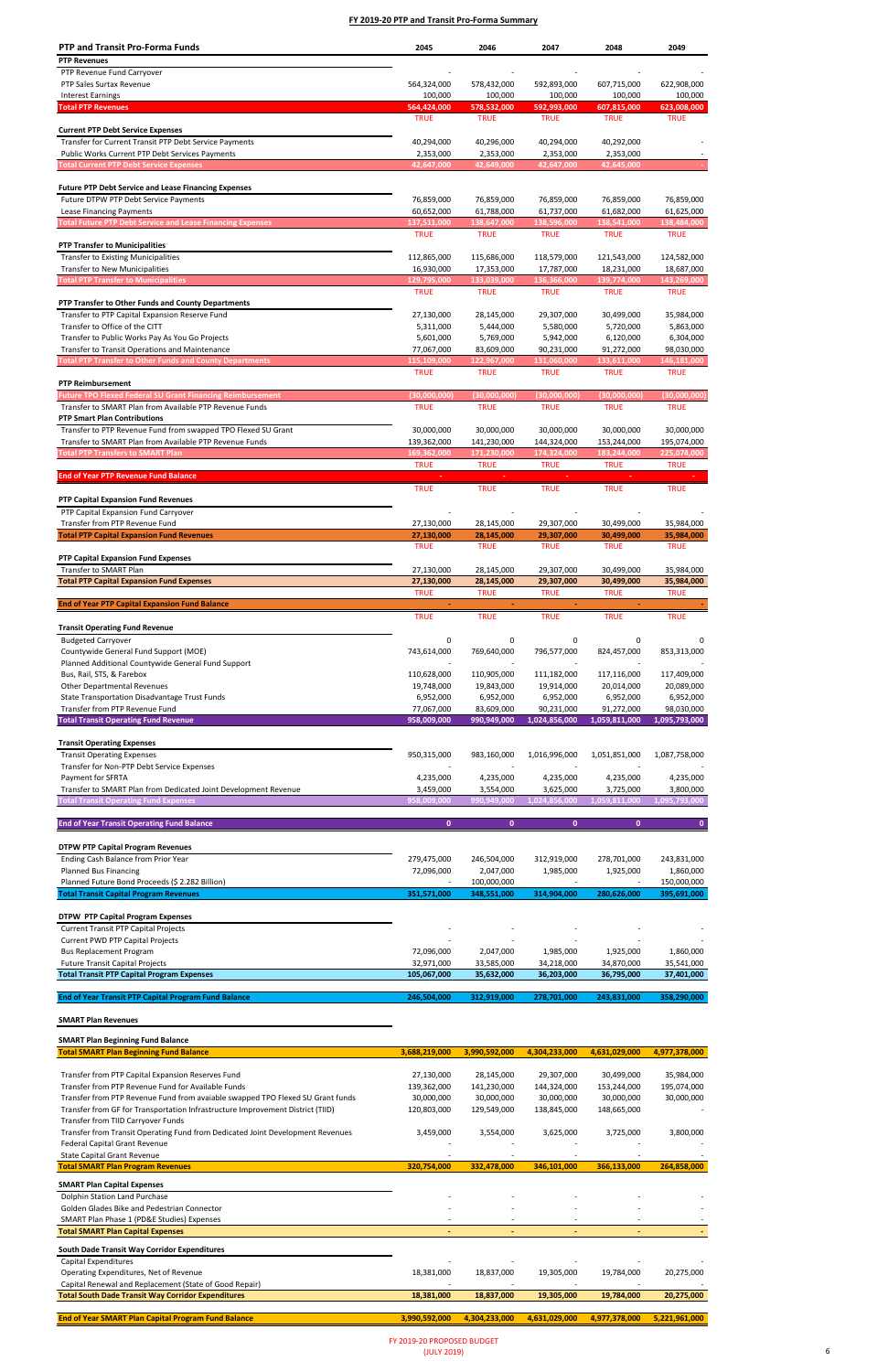# **SMART Plan Revenues**

### **SMART Plan Beginning Fund Balance**

| <b>PTP and Transit Pro-Forma Funds</b>                                                                          | 2045                       | 2046                       | 2047                       | 2048                       | 2049                       |
|-----------------------------------------------------------------------------------------------------------------|----------------------------|----------------------------|----------------------------|----------------------------|----------------------------|
| <b>PTP Revenues</b>                                                                                             |                            |                            |                            |                            |                            |
| PTP Revenue Fund Carryover                                                                                      |                            |                            |                            |                            |                            |
| PTP Sales Surtax Revenue                                                                                        | 564,324,000                | 578,432,000                | 592,893,000                | 607,715,000                | 622,908,000                |
| <b>Interest Earnings</b>                                                                                        | 100,000                    | 100,000                    | 100,000                    | 100,000                    | 100,000                    |
| <b>Total PTP Revenues</b>                                                                                       | 564,424,000<br><b>TRUE</b> | 578,532,000<br><b>TRUE</b> | 592,993,000<br><b>TRUE</b> | 607,815,000<br><b>TRUE</b> | 623,008,000<br><b>TRUE</b> |
| <b>Current PTP Debt Service Expenses</b>                                                                        |                            |                            |                            |                            |                            |
| Transfer for Current Transit PTP Debt Service Payments                                                          | 40,294,000                 | 40,296,000                 | 40,294,000                 | 40,292,000                 |                            |
| <b>Public Works Current PTP Debt Services Payments</b>                                                          | 2,353,000                  | 2,353,000                  | 2,353,000                  | 2,353,000                  |                            |
| <b>Total Current PTP Debt Service Expenses</b>                                                                  | 42,647,000                 | 42,649,000                 | 42,647,000                 | 42,645,000                 |                            |
| <b>Future PTP Debt Service and Lease Financing Expenses</b>                                                     |                            |                            |                            |                            |                            |
| Future DTPW PTP Debt Service Payments                                                                           | 76,859,000                 | 76,859,000                 | 76,859,000                 | 76,859,000                 | 76,859,000                 |
| Lease Financing Payments                                                                                        | 60,652,000                 | 61,788,000                 | 61,737,000                 | 61,682,000                 | 61,625,000                 |
| <b>Total Future PTP Debt Service and Lease Financing Expenses</b>                                               | 137,511,000                | 138,647,000                | 138,596,000                | 138,541,000                | 138,484,000                |
|                                                                                                                 | <b>TRUE</b>                | <b>TRUE</b>                | <b>TRUE</b>                | <b>TRUE</b>                | <b>TRUE</b>                |
| <b>PTP Transfer to Municipalities</b><br><b>Transfer to Existing Municipalities</b>                             |                            |                            |                            |                            |                            |
| <b>Transfer to New Municipalities</b>                                                                           | 112,865,000<br>16,930,000  | 115,686,000<br>17,353,000  | 118,579,000<br>17,787,000  | 121,543,000<br>18,231,000  | 124,582,000<br>18,687,000  |
| <b>Total PTP Transfer to Municipalities</b>                                                                     | 129,795,000                | 133,039,000                | 136,366,000                | 139,774,000                | 143,269,000                |
|                                                                                                                 | <b>TRUE</b>                | <b>TRUE</b>                | <b>TRUE</b>                | <b>TRUE</b>                | <b>TRUE</b>                |
| PTP Transfer to Other Funds and County Departments                                                              |                            |                            |                            |                            |                            |
| Transfer to PTP Capital Expansion Reserve Fund                                                                  | 27,130,000                 | 28,145,000                 | 29,307,000                 | 30,499,000                 | 35,984,000                 |
| Transfer to Office of the CITT<br>Transfer to Public Works Pay As You Go Projects                               | 5,311,000<br>5,601,000     | 5,444,000<br>5,769,000     | 5,580,000<br>5,942,000     | 5,720,000<br>6,120,000     | 5,863,000<br>6,304,000     |
| Transfer to Transit Operations and Maintenance                                                                  | 77,067,000                 | 83,609,000                 | 90,231,000                 | 91,272,000                 | 98,030,000                 |
| <b>Total PTP Transfer to Other Funds and County Departments</b>                                                 | 115,109,000                | 122,967,000                | 131,060,000                | 133,611,000                | 146,181,000                |
|                                                                                                                 | <b>TRUE</b>                | <b>TRUE</b>                | <b>TRUE</b>                | <b>TRUE</b>                | <b>TRUE</b>                |
| <b>PTP Reimbursement</b>                                                                                        |                            |                            |                            |                            |                            |
| <b>Future TPO Flexed Federal SU Grant Financing Reimbursement</b>                                               | (30,000,000)               | (30,000,000)               | (30,000,000)               | (30,000,000)               | (30,000,000)               |
| Transfer to SMART Plan from Available PTP Revenue Funds<br><b>PTP Smart Plan Contributions</b>                  | <b>TRUE</b>                | <b>TRUE</b>                | <b>TRUE</b>                | <b>TRUE</b>                | <b>TRUE</b>                |
| Transfer to PTP Revenue Fund from swapped TPO Flexed SU Grant                                                   | 30,000,000                 | 30,000,000                 | 30,000,000                 | 30,000,000                 | 30,000,000                 |
| Transfer to SMART Plan from Available PTP Revenue Funds                                                         | 139,362,000                | 141,230,000                | 144,324,000                | 153,244,000                | 195,074,000                |
| <b>Total PTP Transfers to SMART Plan</b>                                                                        | 169,362,000                | 171,230,000                | 174,324,000                | 183,244,000                | 225,074,000                |
|                                                                                                                 | <b>TRUE</b>                | <b>TRUE</b>                | <b>TRUE</b>                | <b>TRUE</b>                | <b>TRUE</b>                |
| <b>End of Year PTP Revenue Fund Balance</b>                                                                     |                            |                            |                            |                            |                            |
| <b>PTP Capital Expansion Fund Revenues</b>                                                                      | <b>TRUE</b>                | <b>TRUE</b>                | <b>TRUE</b>                | <b>TRUE</b>                | <b>TRUE</b>                |
| PTP Capital Expansion Fund Carryover                                                                            |                            |                            |                            |                            |                            |
| Transfer from PTP Revenue Fund                                                                                  | 27,130,000                 | 28,145,000                 | 29,307,000                 | 30,499,000                 | 35,984,000                 |
| <b>Total PTP Capital Expansion Fund Revenues</b>                                                                | 27,130,000                 | 28,145,000                 | 29,307,000                 | 30,499,000                 | 35,984,000                 |
|                                                                                                                 | TRUE                       | TRUE                       | <b>TRUE</b>                | <b>TRUE</b>                | TRUE                       |
| <b>PTP Capital Expansion Fund Expenses</b><br>Transfer to SMART Plan                                            | 27,130,000                 | 28,145,000                 | 29,307,000                 | 30,499,000                 | 35,984,000                 |
| <b>Total PTP Capital Expansion Fund Expenses</b>                                                                | 27,130,000                 | 28,145,000                 | 29,307,000                 | 30,499,000                 | 35,984,000                 |
|                                                                                                                 | <b>TRUE</b>                | <b>TRUE</b>                | <b>TRUE</b>                | <b>TRUE</b>                | <b>TRUE</b>                |
| <b>End of Year PTP Capital Expansion Fund Balance</b>                                                           |                            |                            |                            |                            |                            |
|                                                                                                                 | <b>TRUE</b>                | <b>TRUE</b>                | <b>TRUE</b>                | <b>TRUE</b>                | <b>TRUE</b>                |
| <b>Transit Operating Fund Revenue</b>                                                                           |                            |                            |                            |                            |                            |
| <b>Budgeted Carryover</b><br>Countywide General Fund Support (MOE)                                              | 0<br>743,614,000           | 0<br>769,640,000           | 0<br>796,577,000           | 0<br>824,457,000           | 853,313,000                |
| Planned Additional Countywide General Fund Support                                                              |                            |                            |                            |                            |                            |
| Bus, Rail, STS, & Farebox                                                                                       | 110,628,000                | 110,905,000                | 111,182,000                | 117,116,000                | 117,409,000                |
| <b>Other Departmental Revenues</b>                                                                              | 19,748,000                 | 19,843,000                 | 19,914,000                 | 20,014,000                 | 20,089,000                 |
| State Transportation Disadvantage Trust Funds                                                                   | 6,952,000                  | 6,952,000                  | 6,952,000                  | 6,952,000                  | 6,952,000                  |
| Transfer from PTP Revenue Fund                                                                                  | 77,067,000                 | 83,609,000                 | 90,231,000                 | 91,272,000                 | 98,030,000                 |
| <b>Total Transit Operating Fund Revenue</b>                                                                     | 958,009,000                | 990,949,000                | 1,024,856,000              | 1,059,811,000              | 1,095,793,000              |
| <b>Transit Operating Expenses</b>                                                                               |                            |                            |                            |                            |                            |
| <b>Transit Operating Expenses</b>                                                                               | 950,315,000                | 983,160,000                | 1,016,996,000              | 1,051,851,000              | 1,087,758,000              |
| Transfer for Non-PTP Debt Service Expenses                                                                      |                            |                            |                            |                            |                            |
| Payment for SFRTA                                                                                               | 4,235,000                  | 4,235,000                  | 4,235,000                  | 4,235,000                  | 4,235,000                  |
| Transfer to SMART Plan from Dedicated Joint Development Revenue<br><b>Fotal Transit Operating Fund Expenses</b> | 3,459,000<br>958,009,000   | 3,554,000<br>990,949,000   | 3,625,000<br>1,024,856,000 | 3,725,000<br>1,059,811,000 | 3,800,000<br>1,095,793,000 |
|                                                                                                                 |                            |                            |                            |                            |                            |
| <b>End of Year Transit Operating Fund Balance</b>                                                               | $\mathbf{0}$               | $\mathbf{0}$               | $\mathbf{0}$               | $\mathbf{0}$               | $\mathbf{0}$               |
|                                                                                                                 |                            |                            |                            |                            |                            |
| <b>DTPW PTP Capital Program Revenues</b>                                                                        |                            |                            |                            |                            |                            |
| Ending Cash Balance from Prior Year                                                                             | 279,475,000                | 246,504,000                | 312,919,000                | 278,701,000                | 243,831,000                |
| <b>Planned Bus Financing</b><br>Planned Future Bond Proceeds (\$ 2.282 Billion)                                 | 72,096,000                 | 2,047,000<br>100,000,000   | 1,985,000                  | 1,925,000                  | 1,860,000<br>150,000,000   |
| <b>Total Transit Capital Program Revenues</b>                                                                   | 351,571,000                | 348,551,000                | 314,904,000                | 280,626,000                | 395,691,000                |
|                                                                                                                 |                            |                            |                            |                            |                            |
| <b>DTPW PTP Capital Program Expenses</b>                                                                        |                            |                            |                            |                            |                            |
| <b>Current Transit PTP Capital Projects</b>                                                                     |                            |                            |                            |                            |                            |
| <b>Current PWD PTP Capital Projects</b>                                                                         |                            |                            |                            |                            |                            |
| <b>Bus Replacement Program</b><br><b>Future Transit Capital Projects</b>                                        | 72,096,000<br>32,971,000   | 2,047,000<br>33,585,000    | 1,985,000<br>34,218,000    | 1,925,000<br>34,870,000    | 1,860,000<br>35,541,000    |
| <b>Total Transit PTP Capital Program Expenses</b>                                                               | 105,067,000                | 35,632,000                 | 36,203,000                 | 36,795,000                 | 37,401,000                 |
|                                                                                                                 |                            |                            |                            |                            |                            |
| <b>End of Year Transit PTP Capital Program Fund Balance</b>                                                     | 246,504,000                | 312,919,000                | 278,701,000                | 243,831,000                | 358,290,000                |

| <b>Total SMART Plan Beginning Fund Balance</b>                                 | 3,688,219,000 | 3,990,592,000            | 4,304,233,000 | 4,631,029,000 | 4,977,378,000 |
|--------------------------------------------------------------------------------|---------------|--------------------------|---------------|---------------|---------------|
|                                                                                |               |                          |               |               |               |
| Transfer from PTP Capital Expansion Reserves Fund                              | 27,130,000    | 28,145,000               | 29,307,000    | 30,499,000    | 35,984,000    |
| Transfer from PTP Revenue Fund for Available Funds                             | 139,362,000   | 141,230,000              | 144,324,000   | 153,244,000   | 195,074,000   |
| Transfer from PTP Revenue Fund from avaiable swapped TPO Flexed SU Grant funds | 30,000,000    | 30,000,000               | 30,000,000    | 30,000,000    | 30,000,000    |
| Transfer from GF for Transportation Infrastructure Improvement District (TIID) | 120,803,000   | 129,549,000              | 138,845,000   | 148,665,000   |               |
| Transfer from TIID Carryover Funds                                             |               |                          |               |               |               |
| Transfer from Transit Operating Fund from Dedicated Joint Development Revenues | 3,459,000     | 3,554,000                | 3,625,000     | 3,725,000     | 3,800,000     |
| Federal Capital Grant Revenue                                                  |               |                          |               |               |               |
| <b>State Capital Grant Revenue</b>                                             |               |                          |               |               |               |
| <b>Total SMART Plan Program Revenues</b>                                       | 320,754,000   | 332,478,000              | 346,101,000   | 366,133,000   | 264,858,000   |
| <b>SMART Plan Capital Expenses</b>                                             |               |                          |               |               |               |
| Dolphin Station Land Purchase                                                  |               |                          |               |               |               |
| Golden Glades Bike and Pedestrian Connector                                    |               |                          |               |               |               |
| SMART Plan Phase 1 (PD&E Studies) Expenses                                     |               |                          |               |               |               |
| <b>Total SMART Plan Capital Expenses</b>                                       |               | $\overline{\phantom{a}}$ |               |               |               |
| South Dade Transit Way Corridor Expenditures                                   |               |                          |               |               |               |
| Capital Expenditures                                                           |               |                          |               |               |               |
| Operating Expenditures, Net of Revenue                                         | 18,381,000    | 18,837,000               | 19,305,000    | 19,784,000    | 20,275,000    |
| Capital Renewal and Replacement (State of Good Repair)                         |               |                          |               |               |               |
| <b>Total South Dade Transit Way Corridor Expenditures</b>                      | 18,381,000    | 18,837,000               | 19,305,000    | 19,784,000    | 20,275,000    |
|                                                                                |               |                          |               |               |               |
| <b>End of Year SMART Plan Capital Program Fund Balance</b>                     | 3,990,592,000 | 4,304,233,000            | 4,631,029,000 | 4,977,378,000 | 5,221,961,000 |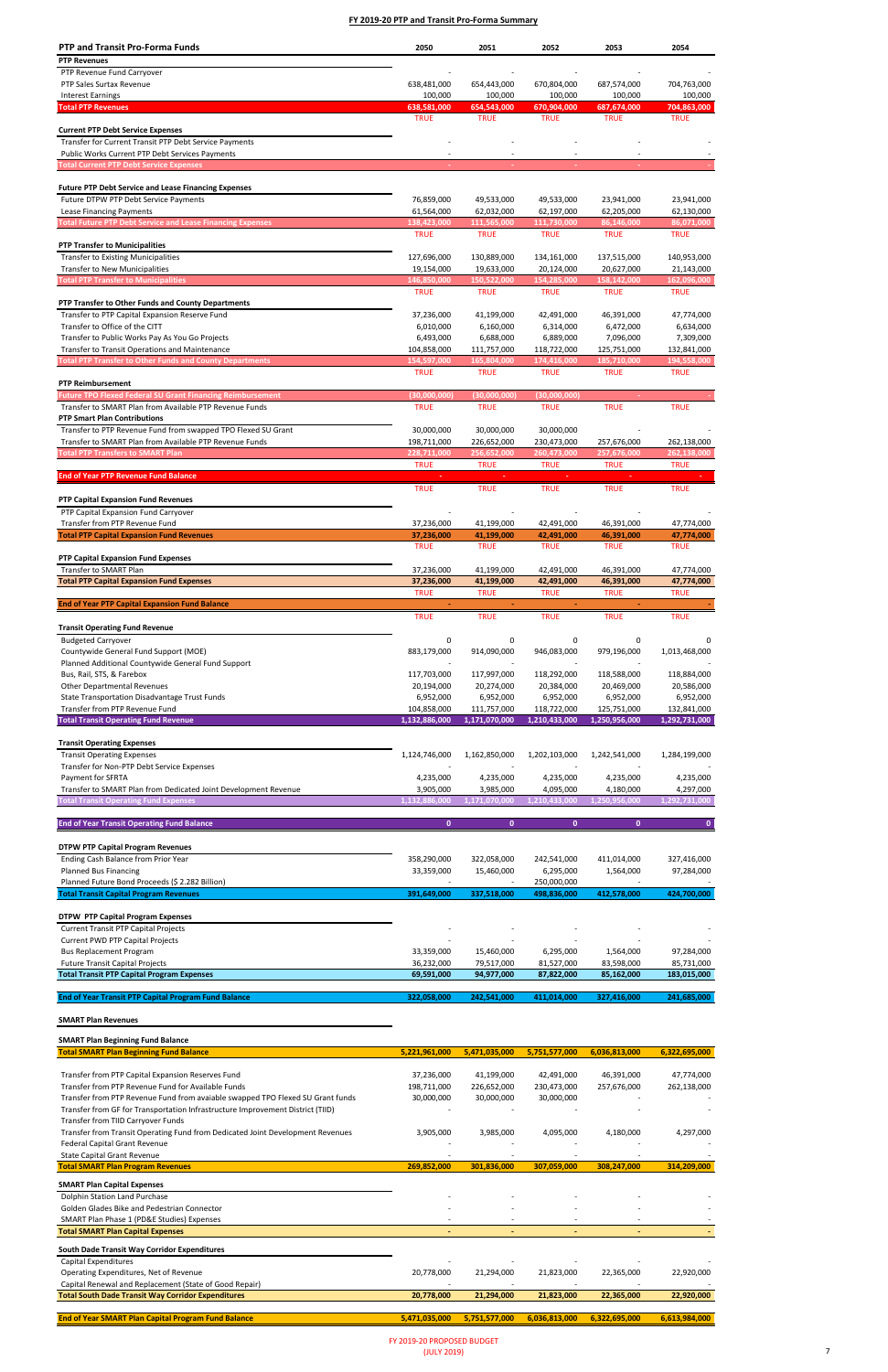# **SMART Plan Revenues**

## **SMART Plan Beginning Fund Balance**

| <b>PTP and Transit Pro-Forma Funds</b>                                 | 2050          | 2051          | 2052          | 2053          | 2054          |
|------------------------------------------------------------------------|---------------|---------------|---------------|---------------|---------------|
| <b>PTP Revenues</b>                                                    |               |               |               |               |               |
| PTP Revenue Fund Carryover                                             |               |               |               |               |               |
| PTP Sales Surtax Revenue                                               | 638,481,000   | 654,443,000   | 670,804,000   | 687,574,000   | 704,763,000   |
| <b>Interest Earnings</b>                                               | 100,000       | 100,000       | 100,000       | 100,000       | 100,000       |
| <b>Total PTP Revenues</b>                                              | 638,581,000   | 654,543,000   | 670,904,000   | 687,674,000   | 704,863,000   |
|                                                                        | <b>TRUE</b>   | <b>TRUE</b>   | <b>TRUE</b>   | <b>TRUE</b>   | <b>TRUE</b>   |
| <b>Current PTP Debt Service Expenses</b>                               |               |               |               |               |               |
| Transfer for Current Transit PTP Debt Service Payments                 |               |               |               |               |               |
| Public Works Current PTP Debt Services Payments                        |               |               |               |               |               |
| <b>Total Current PTP Debt Service Expenses</b>                         |               |               |               |               |               |
| <b>Future PTP Debt Service and Lease Financing Expenses</b>            |               |               |               |               |               |
| Future DTPW PTP Debt Service Payments                                  | 76,859,000    | 49,533,000    | 49,533,000    | 23,941,000    | 23,941,000    |
| Lease Financing Payments                                               | 61,564,000    | 62,032,000    | 62,197,000    | 62,205,000    | 62,130,000    |
| <b>Total Future PTP Debt Service and Lease Financing Expenses</b>      | 138,423,000   | 111,565,000   | 111,730,000   | 86,146,000    | 86,071,000    |
|                                                                        | <b>TRUE</b>   | <b>TRUE</b>   | <b>TRUE</b>   | <b>TRUE</b>   | <b>TRUE</b>   |
| <b>PTP Transfer to Municipalities</b>                                  |               |               |               |               |               |
| <b>Transfer to Existing Municipalities</b>                             | 127,696,000   | 130,889,000   | 134,161,000   | 137,515,000   | 140,953,000   |
| <b>Transfer to New Municipalities</b>                                  | 19,154,000    | 19,633,000    | 20,124,000    | 20,627,000    | 21,143,000    |
| <b>Total PTP Transfer to Municipalities</b>                            | 146,850,000   | 150,522,000   | 154,285,000   | 158,142,000   | 162,096,000   |
|                                                                        | <b>TRUE</b>   | <b>TRUE</b>   | <b>TRUE</b>   | <b>TRUE</b>   | <b>TRUE</b>   |
| PTP Transfer to Other Funds and County Departments                     |               |               |               |               |               |
| Transfer to PTP Capital Expansion Reserve Fund                         | 37,236,000    | 41,199,000    | 42,491,000    | 46,391,000    | 47,774,000    |
| Transfer to Office of the CITT                                         | 6,010,000     | 6,160,000     | 6,314,000     | 6,472,000     | 6,634,000     |
| Transfer to Public Works Pay As You Go Projects                        | 6,493,000     | 6,688,000     | 6,889,000     | 7,096,000     | 7,309,000     |
| Transfer to Transit Operations and Maintenance                         | 104,858,000   | 111,757,000   | 118,722,000   | 125,751,000   | 132,841,000   |
| <b>Total PTP Transfer to Other Funds and County Departments</b>        | 154,597,000   | 165,804,000   | 174,416,000   | 185,710,000   | 194,558,000   |
|                                                                        | <b>TRUE</b>   | <b>TRUE</b>   | <b>TRUE</b>   | <b>TRUE</b>   | <b>TRUE</b>   |
| <b>PTP Reimbursement</b>                                               |               |               |               |               |               |
| <b>Future TPO Flexed Federal SU Grant Financing Reimbursement</b>      | (30,000,000)  | (30,000,000)  | (30,000,000)  |               |               |
| Transfer to SMART Plan from Available PTP Revenue Funds                | <b>TRUE</b>   | <b>TRUE</b>   | <b>TRUE</b>   | <b>TRUE</b>   | <b>TRUE</b>   |
| <b>PTP Smart Plan Contributions</b>                                    |               |               |               |               |               |
| Transfer to PTP Revenue Fund from swapped TPO Flexed SU Grant          | 30,000,000    | 30,000,000    | 30,000,000    |               |               |
| Transfer to SMART Plan from Available PTP Revenue Funds                | 198,711,000   | 226,652,000   | 230,473,000   | 257,676,000   | 262,138,000   |
| <b>Total PTP Transfers to SMART Plan</b>                               | 228,711,000   | 256,652,000   | 260,473,000   | 257,676,000   | 262,138,000   |
|                                                                        | <b>TRUE</b>   | <b>TRUE</b>   | <b>TRUE</b>   | <b>TRUE</b>   | <b>TRUE</b>   |
| <b>End of Year PTP Revenue Fund Balance</b>                            |               |               |               |               |               |
|                                                                        | <b>TRUE</b>   | <b>TRUE</b>   | <b>TRUE</b>   | <b>TRUE</b>   | <b>TRUE</b>   |
| PTP Capital Expansion Fund Revenues                                    |               |               |               |               |               |
| PTP Capital Expansion Fund Carryover                                   |               |               |               |               |               |
|                                                                        |               |               |               |               |               |
| Transfer from PTP Revenue Fund                                         | 37,236,000    | 41,199,000    | 42,491,000    | 46,391,000    | 47,774,000    |
| <b>Total PTP Capital Expansion Fund Revenues</b>                       | 37,236,000    | 41,199,000    | 42,491,000    | 46,391,000    | 47,774,000    |
|                                                                        | <b>TRUE</b>   | TRUE          | <b>TRUE</b>   | TRUE          | <b>TRUE</b>   |
| <b>PTP Capital Expansion Fund Expenses</b>                             |               |               |               |               |               |
| Transfer to SMART Plan                                                 | 37,236,000    | 41,199,000    | 42,491,000    | 46,391,000    | 47,774,000    |
| <b>Total PTP Capital Expansion Fund Expenses</b>                       | 37,236,000    | 41,199,000    | 42,491,000    | 46,391,000    | 47,774,000    |
|                                                                        | <b>TRUE</b>   | <b>TRUE</b>   | <b>TRUE</b>   | <b>TRUE</b>   | <b>TRUE</b>   |
| <b>End of Year PTP Capital Expansion Fund Balance</b>                  |               |               |               |               |               |
|                                                                        | <b>TRUE</b>   | <b>TRUE</b>   | <b>TRUE</b>   | <b>TRUE</b>   | <b>TRUE</b>   |
| <b>Transit Operating Fund Revenue</b>                                  |               |               |               |               |               |
| <b>Budgeted Carryover</b>                                              | 0             | 0             | 0             | 0             | 0             |
| Countywide General Fund Support (MOE)                                  | 883,179,000   | 914,090,000   | 946,083,000   | 979,196,000   | 1,013,468,000 |
| Planned Additional Countywide General Fund Support                     |               |               |               |               |               |
| Bus, Rail, STS, & Farebox                                              | 117,703,000   | 117,997,000   | 118,292,000   | 118,588,000   | 118,884,000   |
| <b>Other Departmental Revenues</b>                                     | 20,194,000    | 20,274,000    | 20,384,000    | 20,469,000    | 20,586,000    |
| State Transportation Disadvantage Trust Funds                          | 6,952,000     | 6,952,000     | 6,952,000     | 6,952,000     | 6,952,000     |
| Transfer from PTP Revenue Fund                                         | 104,858,000   | 111,757,000   | 118,722,000   | 125,751,000   | 132,841,000   |
| <b>Total Transit Operating Fund Revenue</b>                            | 1,132,886,000 | 1,171,070,000 | 1,210,433,000 | 1,250,956,000 | 1,292,731,000 |
|                                                                        |               |               |               |               |               |
| <b>Transit Operating Expenses</b><br><b>Transit Operating Expenses</b> |               |               | 1,202,103,000 | 1,242,541,000 |               |
|                                                                        | 1,124,746,000 | 1,162,850,000 |               |               | 1,284,199,000 |
| Transfer for Non-PTP Debt Service Expenses<br><b>Payment for SFRTA</b> | 4,235,000     | 4,235,000     | 4,235,000     | 4,235,000     | 4,235,000     |
| Transfer to SMART Plan from Dedicated Joint Development Revenue        | 3,905,000     | 3,985,000     | 4,095,000     | 4,180,000     | 4,297,000     |
| <b>Fotal Transit Operating Fund Expenses</b>                           | 1,132,886,000 | 1,171,070,000 | 1,210,433,000 | 1,250,956,000 | 1,292,731,000 |
|                                                                        |               |               |               |               |               |
| <b>End of Year Transit Operating Fund Balance</b>                      | $\mathbf{0}$  | $\mathbf{0}$  | $\mathbf{0}$  | $\mathbf{0}$  | $\mathbf{0}$  |
|                                                                        |               |               |               |               |               |
| <b>DTPW PTP Capital Program Revenues</b>                               |               |               |               |               |               |
| Ending Cash Balance from Prior Year                                    | 358,290,000   | 322,058,000   | 242,541,000   | 411,014,000   | 327,416,000   |
| <b>Planned Bus Financing</b>                                           | 33,359,000    | 15,460,000    | 6,295,000     | 1,564,000     | 97,284,000    |
| Planned Future Bond Proceeds (\$ 2.282 Billion)                        |               |               | 250,000,000   |               |               |
| <b>Total Transit Capital Program Revenues</b>                          | 391,649,000   | 337,518,000   | 498,836,000   | 412,578,000   | 424,700,000   |
|                                                                        |               |               |               |               |               |
| <b>DTPW PTP Capital Program Expenses</b>                               |               |               |               |               |               |
| <b>Current Transit PTP Capital Projects</b>                            |               |               |               |               |               |
| <b>Current PWD PTP Capital Projects</b>                                |               |               |               |               |               |
| <b>Bus Replacement Program</b>                                         | 33,359,000    | 15,460,000    | 6,295,000     | 1,564,000     | 97,284,000    |
| <b>Future Transit Capital Projects</b>                                 | 36,232,000    | 79,517,000    | 81,527,000    | 83,598,000    | 85,731,000    |
| <b>Total Transit PTP Capital Program Expenses</b>                      | 69,591,000    | 94,977,000    | 87,822,000    | 85,162,000    | 183,015,000   |
| <b>End of Year Transit PTP Capital Program Fund Balance</b>            | 322,058,000   | 242,541,000   | 411,014,000   | 327,416,000   | 241,685,000   |

| <b>Total SMART Plan Beginning Fund Balance</b>                                 | 5,221,961,000 | 5,471,035,000 | 5,751,577,000 | 6,036,813,000 | 6,322,695,000 |
|--------------------------------------------------------------------------------|---------------|---------------|---------------|---------------|---------------|
|                                                                                |               |               |               |               |               |
| Transfer from PTP Capital Expansion Reserves Fund                              | 37,236,000    | 41,199,000    | 42,491,000    | 46,391,000    | 47,774,000    |
| Transfer from PTP Revenue Fund for Available Funds                             | 198,711,000   | 226,652,000   | 230,473,000   | 257,676,000   | 262,138,000   |
| Transfer from PTP Revenue Fund from avaiable swapped TPO Flexed SU Grant funds | 30,000,000    | 30,000,000    | 30,000,000    |               |               |
| Transfer from GF for Transportation Infrastructure Improvement District (TIID) |               |               |               |               |               |
| Transfer from TIID Carryover Funds                                             |               |               |               |               |               |
| Transfer from Transit Operating Fund from Dedicated Joint Development Revenues | 3,905,000     | 3,985,000     | 4,095,000     | 4,180,000     | 4,297,000     |
| <b>Federal Capital Grant Revenue</b>                                           |               |               |               |               |               |
| <b>State Capital Grant Revenue</b>                                             |               |               |               |               |               |
| <b>Total SMART Plan Program Revenues</b>                                       | 269,852,000   | 301,836,000   | 307,059,000   | 308,247,000   | 314,209,000   |
| <b>SMART Plan Capital Expenses</b>                                             |               |               |               |               |               |
| Dolphin Station Land Purchase                                                  |               |               |               |               |               |
| Golden Glades Bike and Pedestrian Connector                                    |               |               |               |               |               |
| SMART Plan Phase 1 (PD&E Studies) Expenses                                     |               |               |               |               |               |
| <b>Total SMART Plan Capital Expenses</b>                                       |               |               | ٠             |               |               |
| South Dade Transit Way Corridor Expenditures                                   |               |               |               |               |               |
| Capital Expenditures                                                           |               |               |               |               |               |
| Operating Expenditures, Net of Revenue                                         | 20,778,000    | 21,294,000    | 21,823,000    | 22,365,000    | 22,920,000    |
| Capital Renewal and Replacement (State of Good Repair)                         |               |               |               |               |               |
| <b>Total South Dade Transit Way Corridor Expenditures</b>                      | 20,778,000    | 21,294,000    | 21,823,000    | 22,365,000    | 22,920,000    |
|                                                                                |               |               |               |               |               |
| <b>End of Year SMART Plan Capital Program Fund Balance</b>                     | 5,471,035,000 | 5,751,577,000 | 6.036.813.000 | 6.322.695.000 | 6,613,984,000 |